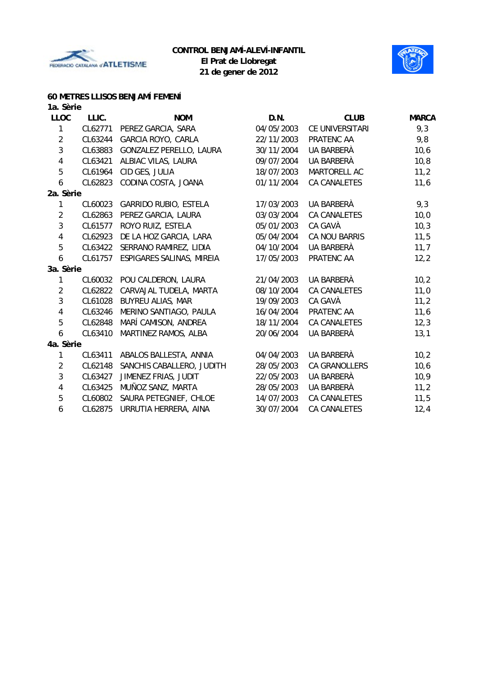



## **60 METRES LLISOS BENJAMÍ FEMENÍ**

| 1a. Sèrie               |         |                              |            |                     |              |
|-------------------------|---------|------------------------------|------------|---------------------|--------------|
| <b>LLOC</b>             | LLIC.   | <b>NOM</b>                   | D.N.       | <b>CLUB</b>         | <b>MARCA</b> |
| 1                       | CL62771 | PEREZ GARCIA, SARA           | 04/05/2003 | CE UNIVERSITARI     | 9,3          |
| $\overline{2}$          | CL63244 | GARCIA ROYO, CARLA           | 22/11/2003 | PRATENC AA          | 9,8          |
| $\mathfrak{Z}$          | CL63883 | GONZALEZ PERELLO, LAURA      | 30/11/2004 | UA BARBERÀ          | 10,6         |
| 4                       | CL63421 | ALBIAC VILAS, LAURA          | 09/07/2004 | UA BARBERÀ          | 10, 8        |
| 5                       | CL61964 | CID GES, JULIA               | 18/07/2003 | MARTORELL AC        | 11,2         |
| 6                       | CL62823 | CODINA COSTA, JOANA          | 01/11/2004 | CA CANALETES        | 11,6         |
| 2a. Sèrie               |         |                              |            |                     |              |
| 1                       | CL60023 | <b>GARRIDO RUBIO, ESTELA</b> | 17/03/2003 | UA BARBERÀ          | 9,3          |
| $\overline{2}$          | CL62863 | PEREZ GARCIA, LAURA          | 03/03/2004 | CA CANALETES        | 10,0         |
| $\mathbf{3}$            | CL61577 | ROYO RUIZ, ESTELA            | 05/01/2003 | CA GAVÀ             | 10,3         |
| $\overline{\mathbf{4}}$ | CL62923 | DE LA HOZ GARCIA, LARA       | 05/04/2004 | CA NOU BARRIS       | 11,5         |
| 5                       | CL63422 | SERRANO RAMIREZ, LIDIA       | 04/10/2004 | UA BARBERÀ          | 11,7         |
| $\boldsymbol{6}$        | CL61757 | ESPIGARES SALINAS, MIREIA    | 17/05/2003 | PRATENC AA          | 12,2         |
| 3a. Sèrie               |         |                              |            |                     |              |
| 1                       | CL60032 | POU CALDERON, LAURA          | 21/04/2003 | UA BARBERÀ          | 10,2         |
| $\overline{2}$          | CL62822 | CARVAJAL TUDELA, MARTA       | 08/10/2004 | CA CANALETES        | 11,0         |
| $\overline{3}$          | CL61028 | <b>BUYREU ALIAS, MAR</b>     | 19/09/2003 | CA GAVÀ             | 11,2         |
| $\overline{\mathbf{4}}$ | CL63246 | MERINO SANTIAGO, PAULA       | 16/04/2004 | PRATENC AA          | 11,6         |
| 5                       | CL62848 | MARÍ CAMISON, ANDREA         | 18/11/2004 | CA CANALETES        | 12,3         |
| 6                       | CL63410 | MARTINEZ RAMOS, ALBA         | 20/06/2004 | UA BARBERÀ          | 13,1         |
| 4a. Sèrie               |         |                              |            |                     |              |
| 1                       | CL63411 | ABALOS BALLESTA, ANNIA       | 04/04/2003 | UA BARBERÀ          | 10,2         |
| $\overline{2}$          | CL62148 | SANCHIS CABALLERO, JUDITH    | 28/05/2003 | CA GRANOLLERS       | 10,6         |
| $\sqrt{3}$              | CL63427 | JIMENEZ FRIAS, JUDIT         | 22/05/2003 | UA BARBERÀ          | 10,9         |
| 4                       | CL63425 | MUÑOZ SANZ, MARTA            | 28/05/2003 | UA BARBERÀ          | 11,2         |
| 5                       | CL60802 | SAURA PETEGNIEF, CHLOE       | 14/07/2003 | CA CANALETES        | 11,5         |
| 6                       | CL62875 | URRUTIA HERRERA, AINA        | 30/07/2004 | <b>CA CANALETES</b> | 12,4         |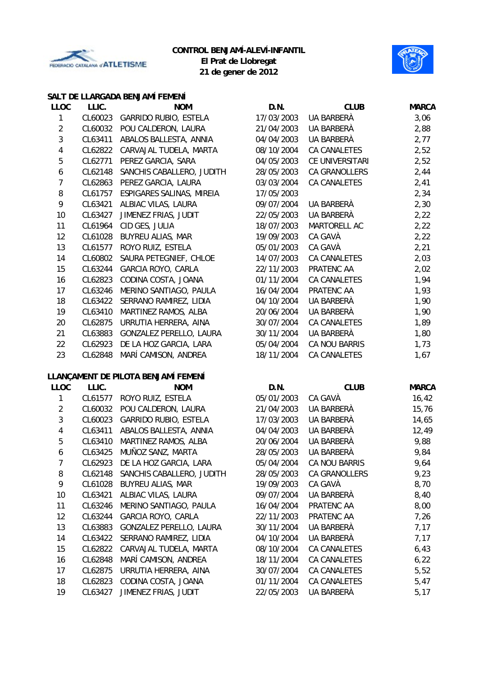



**21 de gener de 2012**

### **SALT DE LLARGADA BENJAMÍ FEMENÍ**

| <b>LLOC</b>    | LLIC.   | <b>NOM</b>                          | D.N.       | <b>CLUB</b>         | <b>MARCA</b> |
|----------------|---------|-------------------------------------|------------|---------------------|--------------|
| $\mathbf{1}$   | CL60023 | <b>GARRIDO RUBIO, ESTELA</b>        | 17/03/2003 | <b>UA BARBERÀ</b>   | 3,06         |
| $\overline{2}$ | CL60032 | POU CALDERON, LAURA                 | 21/04/2003 | UA BARBERÀ          | 2,88         |
| 3              | CL63411 | ABALOS BALLESTA, ANNIA              | 04/04/2003 | UA BARBERÀ          | 2,77         |
| 4              | CL62822 | CARVAJAL TUDELA, MARTA              | 08/10/2004 | CA CANALETES        | 2,52         |
| 5              | CL62771 | PEREZ GARCIA, SARA                  | 04/05/2003 | CE UNIVERSITARI     | 2,52         |
| 6              | CL62148 | SANCHIS CABALLERO, JUDITH           | 28/05/2003 | CA GRANOLLERS       | 2,44         |
| $\overline{7}$ | CL62863 | PEREZ GARCIA, LAURA                 | 03/03/2004 | CA CANALETES        | 2,41         |
| 8              | CL61757 | ESPIGARES SALINAS, MIREIA           | 17/05/2003 |                     | 2,34         |
| 9              | CL63421 | ALBIAC VILAS, LAURA                 | 09/07/2004 | UA BARBERÀ          | 2,30         |
| 10             | CL63427 | JIMENEZ FRIAS, JUDIT                | 22/05/2003 | UA BARBERÀ          | 2,22         |
| 11             | CL61964 | CID GES, JULIA                      | 18/07/2003 | MARTORELL AC        | 2,22         |
| 12             | CL61028 | <b>BUYREU ALIAS, MAR</b>            | 19/09/2003 | CA GAVÀ             | 2,22         |
| 13             | CL61577 | ROYO RUIZ, ESTELA                   | 05/01/2003 | CA GAVÀ             | 2,21         |
| 14             | CL60802 | SAURA PETEGNIEF, CHLOE              | 14/07/2003 | CA CANALETES        | 2,03         |
| 15             | CL63244 | GARCIA ROYO, CARLA                  | 22/11/2003 | PRATENC AA          | 2,02         |
| 16             | CL62823 | CODINA COSTA, JOANA                 | 01/11/2004 | CA CANALETES        | 1,94         |
| 17             | CL63246 | MERINO SANTIAGO, PAULA              | 16/04/2004 | PRATENC AA          | 1,93         |
| 18             | CL63422 | SERRANO RAMIREZ, LIDIA              | 04/10/2004 | UA BARBERÀ          | 1,90         |
| 19             | CL63410 | MARTINEZ RAMOS, ALBA                | 20/06/2004 | UA BARBERÀ          | 1,90         |
| 20             | CL62875 | URRUTIA HERRERA, AINA               | 30/07/2004 | <b>CA CANALETES</b> | 1,89         |
| 21             | CL63883 | GONZALEZ PERELLO, LAURA             | 30/11/2004 | UA BARBERÀ          | 1,80         |
| 22             | CL62923 | DE LA HOZ GARCIA, LARA              | 05/04/2004 | CA NOU BARRIS       | 1,73         |
| 23             | CL62848 | MARÍ CAMISON, ANDREA                | 18/11/2004 | CA CANALETES        | 1,67         |
|                |         | LLANÇAMENT DE PILOTA BENJAMÍ FEMENÍ |            |                     |              |
| <b>LLOC</b>    | LLIC.   | <b>NOM</b>                          | D.N.       | <b>CLUB</b>         | <b>MARCA</b> |
| 1              | CL61577 | ROYO RUIZ, ESTELA                   | 05/01/2003 | CA GAVÀ             | 16,42        |
| $\overline{2}$ | CL60032 | POU CALDERON, LAURA                 | 21/04/2003 | UA BARBERÀ          | 15,76        |
| $\sqrt{3}$     | CL60023 | <b>GARRIDO RUBIO, ESTELA</b>        | 17/03/2003 | UA BARBERÀ          | 14,65        |
| 4              | CL63411 | ABALOS BALLESTA, ANNIA              | 04/04/2003 | UA BARBERÀ          | 12,49        |
| 5              | CL63410 | MARTINEZ RAMOS, ALBA                | 20/06/2004 | UA BARBERÀ          | 9,88         |
| 6              | CL63425 | MUÑOZ SANZ, MARTA                   | 28/05/2003 | UA BARBERÀ          | 9,84         |
| 7              |         | CL62923 DE LA HOZ GARCIA, LARA      | 05/04/2004 | CA NOU BARRIS       | 9,64         |
| 8              | CL62148 | SANCHIS CABALLERO, JUDITH           | 28/05/2003 | CA GRANOLLERS       | 9,23         |
| 9              | CL61028 | <b>BUYREU ALIAS, MAR</b>            | 19/09/2003 | CA GAVÀ             | 8,70         |
| 10             | CL63421 | ALBIAC VILAS, LAURA                 | 09/07/2004 | UA BARBERÀ          | 8,40         |
| 11             | CL63246 | MERINO SANTIAGO, PAULA              | 16/04/2004 | PRATENC AA          | 8,00         |
| 12             | CL63244 | GARCIA ROYO, CARLA                  | 22/11/2003 | PRATENC AA          | 7,26         |
| 13             | CL63883 | GONZALEZ PERELLO, LAURA             | 30/11/2004 | UA BARBERÀ          | 7,17         |
| 14             | CL63422 | SERRANO RAMIREZ, LIDIA              | 04/10/2004 | UA BARBERÀ          | 7,17         |
| 15             | CL62822 | CARVAJAL TUDELA, MARTA              | 08/10/2004 | CA CANALETES        | 6,43         |
| 16             | CL62848 | MARÍ CAMISON, ANDREA                | 18/11/2004 | CA CANALETES        | 6,22         |
| 17             | CL62875 | URRUTIA HERRERA, AINA               | 30/07/2004 | CA CANALETES        | 5,52         |
| 18             | CL62823 | CODINA COSTA, JOANA                 | 01/11/2004 | CA CANALETES        | 5,47         |
| 19             | CL63427 | JIMENEZ FRIAS, JUDIT                | 22/05/2003 | UA BARBERÀ          | 5,17         |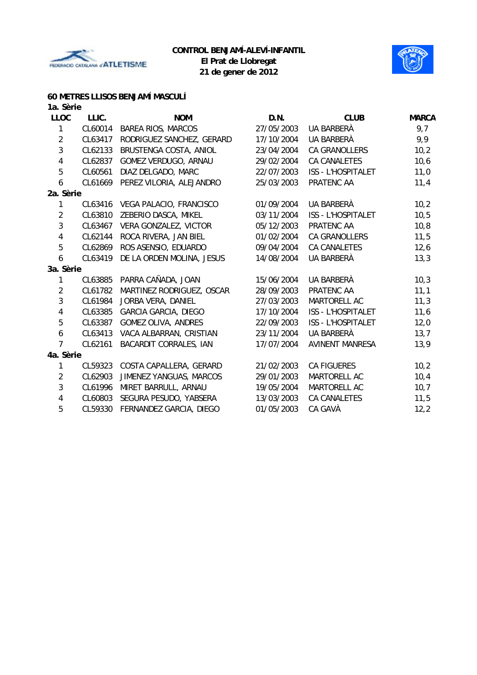



## **60 METRES LLISOS BENJAMÍ MASCULÍ**

| 1a. Sèrie      |         |                               |            |                           |              |
|----------------|---------|-------------------------------|------------|---------------------------|--------------|
| <b>LLOC</b>    | LLIC.   | <b>NOM</b>                    | D.N.       | <b>CLUB</b>               | <b>MARCA</b> |
| 1              | CL60014 | <b>BAREA RIOS, MARCOS</b>     | 27/05/2003 | UA BARBERÀ                | 9,7          |
| $\overline{2}$ | CL63417 | RODRIGUEZ SANCHEZ, GERARD     | 17/10/2004 | UA BARBERÀ                | 9,9          |
| 3              | CL62133 | BRUSTENGA COSTA, ANIOL        | 23/04/2004 | <b>CA GRANOLLERS</b>      | 10,2         |
| 4              | CL62837 | GOMEZ VERDUGO, ARNAU          | 29/02/2004 | CA CANALETES              | 10,6         |
| 5              | CL60561 | DIAZ DELGADO, MARC            | 22/07/2003 | <b>ISS - L'HOSPITALET</b> | 11,0         |
| 6              | CL61669 | PEREZ VILORIA, ALEJANDRO      | 25/03/2003 | PRATENC AA                | 11,4         |
| 2a. Sèrie      |         |                               |            |                           |              |
| 1              | CL63416 | VEGA PALACIO, FRANCISCO       | 01/09/2004 | UA BARBERÀ                | 10,2         |
| $\overline{2}$ | CL63810 | ZEBERIO DASCA, MIKEL          | 03/11/2004 | <b>ISS - L'HOSPITALET</b> | 10,5         |
| 3              | CL63467 | VERA GONZALEZ, VICTOR         | 05/12/2003 | PRATENC AA                | 10, 8        |
| 4              | CL62144 | ROCA RIVERA, JAN BIEL         | 01/02/2004 | CA GRANOLLERS             | 11,5         |
| 5              | CL62869 | ROS ASENSIO, EDUARDO          | 09/04/2004 | CA CANALETES              | 12,6         |
| 6              | CL63419 | DE LA ORDEN MOLINA, JESUS     | 14/08/2004 | UA BARBERÀ                | 13,3         |
| 3a. Sèrie      |         |                               |            |                           |              |
| 1              | CL63885 | PARRA CAÑADA, JOAN            | 15/06/2004 | UA BARBERÀ                | 10,3         |
| $\overline{2}$ | CL61782 | MARTINEZ RODRIGUEZ, OSCAR     | 28/09/2003 | PRATENC AA                | 11,1         |
| $\overline{3}$ | CL61984 | JORBA VERA, DANIEL            | 27/03/2003 | MARTORELL AC              | 11,3         |
| 4              | CL63385 | <b>GARCIA GARCIA, DIEGO</b>   | 17/10/2004 | ISS - L'HOSPITALET        | 11,6         |
| 5              | CL63387 | <b>GOMEZ OLIVA, ANDRES</b>    | 22/09/2003 | <b>ISS - L'HOSPITALET</b> | 12,0         |
| 6              | CL63413 | VACA ALBARRAN, CRISTIAN       | 23/11/2004 | UA BARBERÀ                | 13,7         |
| 7              | CL62161 | <b>BACARDIT CORRALES, IAN</b> | 17/07/2004 | <b>AVINENT MANRESA</b>    | 13,9         |
| 4a. Sèrie      |         |                               |            |                           |              |
| 1              | CL59323 | COSTA CAPALLERA, GERARD       | 21/02/2003 | <b>CA FIGUERES</b>        | 10,2         |
| $\overline{2}$ | CL62903 | JIMENEZ YANGUAS, MARCOS       | 29/01/2003 | MARTORELL AC              | 10,4         |
| $\sqrt{3}$     | CL61996 | MIRET BARRULL, ARNAU          | 19/05/2004 | MARTORELL AC              | 10,7         |
| 4              | CL60803 | SEGURA PESUDO, YABSERA        | 13/03/2003 | CA CANALETES              | 11,5         |
| 5              | CL59330 | FERNANDEZ GARCIA, DIEGO       | 01/05/2003 | CA GAVÀ                   | 12,2         |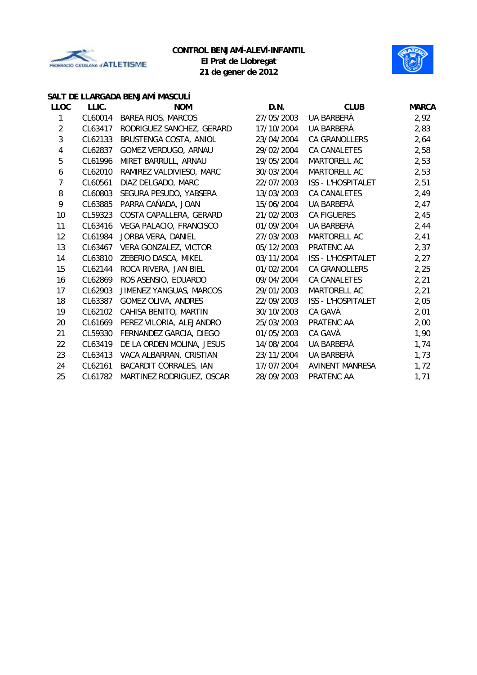



**21 de gener de 2012**

### **SALT DE LLARGADA BENJAMÍ MASCULÍ**

| <b>LLOC</b>    | LLIC.   | <b>NOM</b>                | D.N.       | <b>CLUB</b>               | <b>MARCA</b> |
|----------------|---------|---------------------------|------------|---------------------------|--------------|
| 1              | CL60014 | <b>BAREA RIOS, MARCOS</b> | 27/05/2003 | UA BARBERÀ                | 2,92         |
| $\overline{2}$ | CL63417 | RODRIGUEZ SANCHEZ, GERARD | 17/10/2004 | UA BARBERÀ                | 2,83         |
| 3              | CL62133 | BRUSTENGA COSTA, ANIOL    | 23/04/2004 | CA GRANOLLERS             | 2,64         |
| 4              | CL62837 | GOMEZ VERDUGO, ARNAU      | 29/02/2004 | <b>CA CANALETES</b>       | 2,58         |
| 5              | CL61996 | MIRET BARRULL, ARNAU      | 19/05/2004 | MARTORELL AC              | 2,53         |
| 6              | CL62010 | RAMIREZ VALDIVIESO, MARC  | 30/03/2004 | MARTORELL AC              | 2,53         |
| $\overline{7}$ | CL60561 | DIAZ DELGADO, MARC        | 22/07/2003 | <b>ISS - L'HOSPITALET</b> | 2,51         |
| 8              | CL60803 | SEGURA PESUDO, YABSERA    | 13/03/2003 | <b>CA CANALETES</b>       | 2,49         |
| 9              | CL63885 | PARRA CAÑADA, JOAN        | 15/06/2004 | UA BARBERÀ                | 2,47         |
| 10             | CL59323 | COSTA CAPALLERA, GERARD   | 21/02/2003 | <b>CA FIGUERES</b>        | 2,45         |
| 11             | CL63416 | VEGA PALACIO, FRANCISCO   | 01/09/2004 | UA BARBERÀ                | 2,44         |
| 12             | CL61984 | JORBA VERA, DANIEL        | 27/03/2003 | MARTORELL AC              | 2,41         |
| 13             | CL63467 | VERA GONZALEZ, VICTOR     | 05/12/2003 | PRATENC AA                | 2,37         |
| 14             | CL63810 | ZEBERIO DASCA, MIKEL      | 03/11/2004 | <b>ISS - L'HOSPITALET</b> | 2,27         |
| 15             | CL62144 | ROCA RIVERA, JAN BIEL     | 01/02/2004 | <b>CA GRANOLLERS</b>      | 2,25         |
| 16             | CL62869 | ROS ASENSIO, EDUARDO      | 09/04/2004 | CA CANALETES              | 2,21         |
| 17             | CL62903 | JIMENEZ YANGUAS, MARCOS   | 29/01/2003 | MARTORELL AC              | 2,21         |
| 18             | CL63387 | GOMEZ OLIVA, ANDRES       | 22/09/2003 | <b>ISS - L'HOSPITALET</b> | 2,05         |
| 19             | CL62102 | CAHISA BENITO, MARTIN     | 30/10/2003 | CA GAVÀ                   | 2,01         |
| 20             | CL61669 | PEREZ VILORIA, ALEJANDRO  | 25/03/2003 | PRATENC AA                | 2,00         |
| 21             | CL59330 | FERNANDEZ GARCIA, DIEGO   | 01/05/2003 | CA GAVÀ                   | 1,90         |
| 22             | CL63419 | DE LA ORDEN MOLINA, JESUS | 14/08/2004 | UA BARBERÀ                | 1,74         |
| 23             | CL63413 | VACA ALBARRAN, CRISTIAN   | 23/11/2004 | UA BARBERÀ                | 1,73         |
| 24             | CL62161 | BACARDIT CORRALES, IAN    | 17/07/2004 | <b>AVINENT MANRESA</b>    | 1,72         |
| 25             | CL61782 | MARTINEZ RODRIGUEZ, OSCAR | 28/09/2003 | PRATENC AA                | 1,71         |
|                |         |                           |            |                           |              |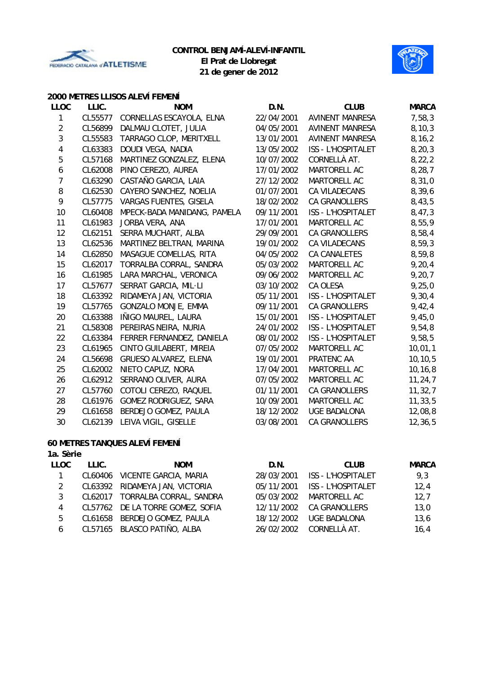



### **2000 METRES LLISOS ALEVÍ FEMENÍ**

| <b>LLOC</b>    | LLIC.   | <b>NOM</b>                  | D.N.       | <b>CLUB</b>               | <b>MARCA</b> |
|----------------|---------|-----------------------------|------------|---------------------------|--------------|
| 1              | CL55577 | CORNELLAS ESCAYOLA, ELNA    | 22/04/2001 | <b>AVINENT MANRESA</b>    | 7,58,3       |
| $\overline{2}$ | CL56899 | DALMAU CLOTET, JULIA        | 04/05/2001 | <b>AVINENT MANRESA</b>    | 8, 10, 3     |
| $\overline{3}$ | CL55583 | TARRAGO CLOP, MERITXELL     | 13/01/2001 | <b>AVINENT MANRESA</b>    | 8, 16, 2     |
| $\pmb{4}$      | CL63383 | DOUDI VEGA, NADIA           | 13/05/2002 | <b>ISS - L'HOSPITALET</b> | 8, 20, 3     |
| 5              | CL57168 | MARTINEZ GONZALEZ, ELENA    | 10/07/2002 | CORNELLÀ AT.              | 8, 22, 2     |
| 6              | CL62008 | PINO CEREZO, AUREA          | 17/01/2002 | MARTORELL AC              | 8, 28, 7     |
| $\overline{7}$ | CL63290 | CASTAÑO GARCIA, LAIA        | 27/12/2002 | MARTORELL AC              | 8,31,0       |
| 8              | CL62530 | CAYERO SANCHEZ, NOELIA      | 01/07/2001 | CA VILADECANS             | 8,39,6       |
| 9              | CL57775 | VARGAS FUENTES, GISELA      | 18/02/2002 | CA GRANOLLERS             | 8,43,5       |
| 10             | CL60408 | MPECK-BADA MANIDANG, PAMELA | 09/11/2001 | <b>ISS - L'HOSPITALET</b> | 8,47,3       |
| 11             | CL61983 | JORBA VERA, ANA             | 17/01/2001 | MARTORELL AC              | 8,55,9       |
| 12             | CL62151 | SERRA MUCHART, ALBA         | 29/09/2001 | CA GRANOLLERS             | 8,58,4       |
| 13             | CL62536 | MARTINEZ BELTRAN, MARINA    | 19/01/2002 | CA VILADECANS             | 8,59,3       |
| 14             | CL62850 | MASAGUE COMELLAS, RITA      | 04/05/2002 | CA CANALETES              | 8,59,8       |
| 15             | CL62017 | TORRALBA CORRAL, SANDRA     | 05/03/2002 | MARTORELL AC              | 9, 20, 4     |
| 16             | CL61985 | LARA MARCHAL, VERONICA      | 09/06/2002 | MARTORELL AC              | 9, 20, 7     |
| 17             | CL57677 | SERRAT GARCIA, MIL·LI       | 03/10/2002 | CA OLESA                  | 9,25,0       |
| 18             | CL63392 | RIDAMEYA JAN, VICTORIA      | 05/11/2001 | ISS - L'HOSPITALET        | 9, 30, 4     |
| 19             | CL57765 | GONZALO MONJE, EMMA         | 09/11/2001 | <b>CA GRANOLLERS</b>      | 9,42,4       |
| 20             | CL63388 | IÑIGO MAUREL, LAURA         | 15/01/2001 | <b>ISS - L'HOSPITALET</b> | 9,45,0       |
| 21             | CL58308 | PEREIRAS NEIRA, NURIA       | 24/01/2002 | <b>ISS - L'HOSPITALET</b> | 9,54,8       |
| 22             | CL63384 | FERRER FERNANDEZ, DANIELA   | 08/01/2002 | <b>ISS - L'HOSPITALET</b> | 9,58,5       |
| 23             | CL61965 | CINTO GUILABERT, MIREIA     | 07/05/2002 | MARTORELL AC              | 10,01,1      |
| 24             | CL56698 | GRUESO ALVAREZ, ELENA       | 19/01/2001 | PRATENC AA                | 10, 10, 5    |
| 25             | CL62002 | NIETO CAPUZ, NORA           | 17/04/2001 | MARTORELL AC              | 10, 16, 8    |
| 26             | CL62912 | SERRANO OLIVER, AURA        | 07/05/2002 | MARTORELL AC              | 11, 24, 7    |
| 27             | CL57760 | COTOLI CEREZO, RAQUEL       | 01/11/2001 | <b>CA GRANOLLERS</b>      | 11, 32, 7    |
| 28             | CL61976 | GOMEZ RODRIGUEZ, SARA       | 10/09/2001 | MARTORELL AC              | 11, 33, 5    |
| 29             | CL61658 | BERDEJO GOMEZ, PAULA        | 18/12/2002 | <b>UGE BADALONA</b>       | 12,08,8      |
| 30             | CL62139 | LEIVA VIGIL, GISELLE        | 03/08/2001 | <b>CA GRANOLLERS</b>      | 12, 36, 5    |

### **60 METRES TANQUES ALEVÍ FEMENÍ**

| 1a. Sèrie |
|-----------|
|           |

| LLOC | LLIC.   | <b>NOM</b>                       | D.N.       | <b>CLUB</b>               | <b>MARCA</b> |
|------|---------|----------------------------------|------------|---------------------------|--------------|
|      | CL60406 | VICENTE GARCIA, MARIA            | 28/03/2001 | <b>ISS - L'HOSPITALET</b> | 9,3          |
| 2    |         | CL63392 RIDAMEYA JAN, VICTORIA   | 05/11/2001 | <b>ISS - L'HOSPITALET</b> | 12,4         |
| 3    | CL62017 | TORRALBA CORRAL, SANDRA          | 05/03/2002 | MARTORELL AC              | 12,7         |
| 4    |         | CL57762 DE LA TORRE GOMEZ, SOFIA | 12/11/2002 | CA GRANOLLERS             | 13,0         |
| 5    |         | CL61658 BERDEJO GOMEZ, PAULA     | 18/12/2002 | UGE BADALONA              | 13,6         |
| 6    |         | CL57165 BLASCO PATIÑO, ALBA      | 26/02/2002 | CORNELLÀ AT.              | 16,4         |
|      |         |                                  |            |                           |              |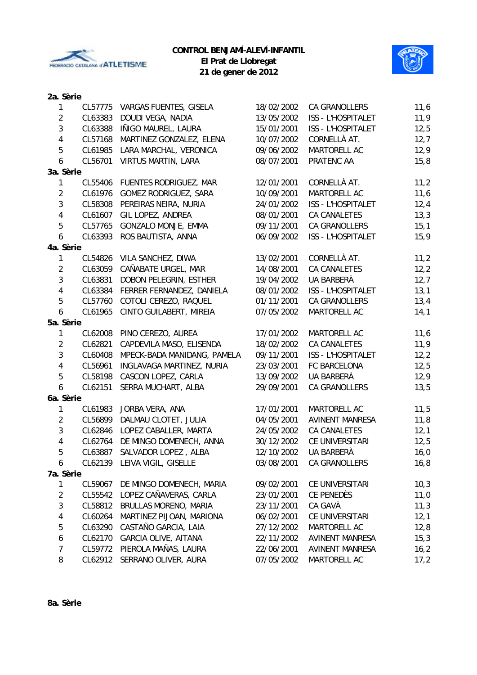



**21 de gener de 2012**

# **2a. Sèrie**

| 1                       | CL57775 | VARGAS FUENTES, GISELA       | 18/02/2002 | <b>CA GRANOLLERS</b>      | 11,6 |
|-------------------------|---------|------------------------------|------------|---------------------------|------|
| $\overline{2}$          | CL63383 | DOUDI VEGA, NADIA            | 13/05/2002 | ISS - L'HOSPITALET        | 11,9 |
| 3                       | CL63388 | IÑIGO MAUREL, LAURA          | 15/01/2001 | ISS - L'HOSPITALET        | 12,5 |
| $\overline{4}$          | CL57168 | MARTINEZ GONZALEZ, ELENA     | 10/07/2002 | CORNELLÀ AT.              | 12,7 |
| 5                       | CL61985 | LARA MARCHAL, VERONICA       | 09/06/2002 | MARTORELL AC              | 12,9 |
| 6                       | CL56701 | <b>VIRTUS MARTIN, LARA</b>   | 08/07/2001 | PRATENC AA                | 15,8 |
| 3a. Sèrie               |         |                              |            |                           |      |
| 1                       | CL55406 | FUENTES RODRIGUEZ, MAR       | 12/01/2001 | CORNELLÀ AT.              | 11,2 |
| $\overline{2}$          | CL61976 | GOMEZ RODRIGUEZ, SARA        | 10/09/2001 | MARTORELL AC              | 11,6 |
| 3                       | CL58308 | PEREIRAS NEIRA, NURIA        | 24/01/2002 | ISS - L'HOSPITALET        | 12,4 |
| $\overline{\mathbf{4}}$ | CL61607 | GIL LOPEZ, ANDREA            | 08/01/2001 | CA CANALETES              | 13,3 |
| 5                       | CL57765 | GONZALO MONJE, EMMA          | 09/11/2001 | CA GRANOLLERS             | 15,1 |
| 6                       | CL63393 | ROS BAUTISTA, ANNA           | 06/09/2002 | ISS - L'HOSPITALET        | 15,9 |
| 4a. Sèrie               |         |                              |            |                           |      |
| $\mathbf{1}$            | CL54826 | VILA SANCHEZ, DIWA           | 13/02/2001 | CORNELLÀ AT.              | 11,2 |
| $\overline{2}$          | CL63059 | CAÑABATE URGEL, MAR          | 14/08/2001 | <b>CA CANALETES</b>       | 12,2 |
| $\overline{3}$          | CL63831 | DOBON PELEGRIN, ESTHER       | 19/04/2002 | UA BARBERÀ                | 12,7 |
| $\overline{4}$          | CL63384 | FERRER FERNANDEZ, DANIELA    | 08/01/2002 | ISS - L'HOSPITALET        | 13,1 |
| 5                       | CL57760 | COTOLI CEREZO, RAQUEL        | 01/11/2001 | CA GRANOLLERS             | 13,4 |
| 6                       | CL61965 | CINTO GUILABERT, MIREIA      | 07/05/2002 | MARTORELL AC              | 14,1 |
| 5a. Sèrie               |         |                              |            |                           |      |
| 1                       | CL62008 | PINO CEREZO, AUREA           | 17/01/2002 | MARTORELL AC              | 11,6 |
| $\overline{2}$          | CL62821 | CAPDEVILA MASO, ELISENDA     | 18/02/2002 | <b>CA CANALETES</b>       | 11,9 |
| 3                       | CL60408 | MPECK-BADA MANIDANG, PAMELA  | 09/11/2001 | <b>ISS - L'HOSPITALET</b> | 12,2 |
| $\overline{4}$          | CL56961 | INGLAVAGA MARTINEZ, NURIA    | 23/03/2001 | FC BARCELONA              | 12,5 |
| 5                       | CL58198 | CASCON LOPEZ, CARLA          | 13/09/2002 | UA BARBERÀ                | 12,9 |
| 6                       | CL62151 | SERRA MUCHART, ALBA          | 29/09/2001 | CA GRANOLLERS             | 13,5 |
| 6a. Sèrie               |         |                              |            |                           |      |
| 1                       | CL61983 | JORBA VERA, ANA              | 17/01/2001 | MARTORELL AC              | 11,5 |
| $\overline{2}$          | CL56899 | DALMAU CLOTET, JULIA         | 04/05/2001 | <b>AVINENT MANRESA</b>    | 11,8 |
| 3                       | CL62846 | LOPEZ CABALLER, MARTA        | 24/05/2002 | <b>CA CANALETES</b>       | 12,1 |
| $\overline{4}$          | CL62764 | DE MINGO DOMENECH, ANNA      | 30/12/2002 | CE UNIVERSITARI           | 12,5 |
| 5                       | CL63887 | SALVADOR LOPEZ, ALBA         | 12/10/2002 | UA BARBERÀ                | 16,0 |
| 6                       |         | CL62139 LEIVA VIGIL, GISELLE | 03/08/2001 | CA GRANOLLERS             | 16,8 |
| 7a. Sèrie               |         |                              |            |                           |      |
| $\mathbf{1}$            | CL59067 | DE MINGO DOMENECH, MARIA     | 09/02/2001 | CE UNIVERSITARI           | 10,3 |
| $\overline{2}$          | CL55542 | LOPEZ CAÑAVERAS, CARLA       | 23/01/2001 | CE PENEDÈS                | 11,0 |
| $\mathfrak{Z}$          | CL58812 | BRULLAS MORENO, MARIA        | 23/11/2001 | CA GAVÀ                   | 11,3 |
| $\overline{4}$          | CL60264 | MARTINEZ PIJOAN, MARIONA     | 06/02/2001 | CE UNIVERSITARI           | 12,1 |
| 5                       | CL63290 | CASTAÑO GARCIA, LAIA         | 27/12/2002 | MARTORELL AC              | 12,8 |
| 6                       | CL62170 | <b>GARCIA OLIVE, AITANA</b>  | 22/11/2002 | <b>AVINENT MANRESA</b>    | 15,3 |
| 7                       | CL59772 | PIEROLA MAÑAS, LAURA         | 22/06/2001 | AVINENT MANRESA           | 16,2 |
| 8                       | CL62912 | SERRANO OLIVER, AURA         | 07/05/2002 | MARTORELL AC              | 17,2 |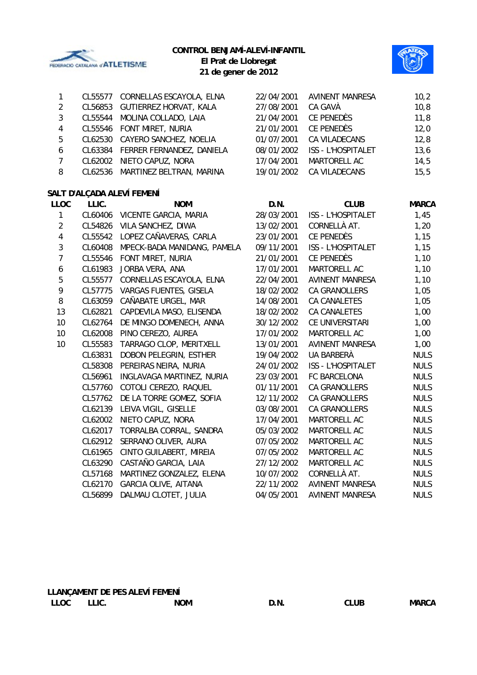

### **CONTROL BENJAMÍ-ALEVÍ-INFANTIL**



**El Prat de Llobregat 21 de gener de 2012**

|               | CL55577 | CORNELLAS ESCAYOLA, ELNA          | 22/04/2001 | <b>AVINENT MANRESA</b>    | 10,2  |
|---------------|---------|-----------------------------------|------------|---------------------------|-------|
| $\mathcal{L}$ | CL56853 | GUTIERREZ HORVAT, KALA            | 27/08/2001 | CA GAVÀ                   | 10,8  |
| 3             |         | CL55544 MOLINA COLLADO, LAIA      | 21/04/2001 | CE PENEDÈS                | 11,8  |
| 4             |         | CL55546 FONT MIRET, NURIA         | 21/01/2001 | <b>CE PENEDÈS</b>         | 12,0  |
| 5             |         | CL62530 CAYERO SANCHEZ, NOELIA    | 01/07/2001 | CA VILADECANS             | 12,8  |
| 6             |         | CL63384 FERRER FERNANDEZ, DANIELA | 08/01/2002 | <b>ISS - L'HOSPITALET</b> | 13,6  |
|               |         | CL62002 NIETO CAPUZ, NORA         | 17/04/2001 | MARTORELL AC              | 14,5  |
| 8             |         | CL62536 MARTINEZ BELTRAN, MARINA  | 19/01/2002 | CA VILADECANS             | 15, 5 |

# **SALT D'ALÇADA ALEVÍ FEMENÍ**

| <b>LLOC</b>    | LLIC.   | <b>NOM</b>                  | D.N.       | <b>CLUB</b>               | <b>MARCA</b> |
|----------------|---------|-----------------------------|------------|---------------------------|--------------|
| 1              | CL60406 | VICENTE GARCIA, MARIA       | 28/03/2001 | <b>ISS - L'HOSPITALET</b> | 1,45         |
| $\overline{2}$ | CL54826 | VILA SANCHEZ, DIWA          | 13/02/2001 | CORNELLÀ AT.              | 1,20         |
| 4              | CL55542 | LOPEZ CAÑAVERAS, CARLA      | 23/01/2001 | CE PENEDÈS                | 1,15         |
| 3              | CL60408 | MPECK-BADA MANIDANG, PAMELA | 09/11/2001 | <b>ISS - L'HOSPITALET</b> | 1,15         |
| 7              | CL55546 | FONT MIRET, NURIA           | 21/01/2001 | CE PENEDÈS                | 1,10         |
| 6              | CL61983 | JORBA VERA, ANA             | 17/01/2001 | MARTORELL AC              | 1,10         |
| 5              | CL55577 | CORNELLAS ESCAYOLA, ELNA    | 22/04/2001 | <b>AVINENT MANRESA</b>    | 1,10         |
| 9              | CL57775 | VARGAS FUENTES, GISELA      | 18/02/2002 | <b>CA GRANOLLERS</b>      | 1,05         |
| 8              | CL63059 | CAÑABATE URGEL, MAR         | 14/08/2001 | CA CANALETES              | 1,05         |
| 13             | CL62821 | CAPDEVILA MASO, ELISENDA    | 18/02/2002 | <b>CA CANALETES</b>       | 1,00         |
| 10             | CL62764 | DE MINGO DOMENECH, ANNA     | 30/12/2002 | CE UNIVERSITARI           | 1,00         |
| 10             | CL62008 | PINO CEREZO, AUREA          | 17/01/2002 | MARTORELL AC              | 1,00         |
| 10             | CL55583 | TARRAGO CLOP, MERITXELL     | 13/01/2001 | <b>AVINENT MANRESA</b>    | 1,00         |
|                | CL63831 | DOBON PELEGRIN, ESTHER      | 19/04/2002 | UA BARBERÀ                | <b>NULS</b>  |
|                | CL58308 | PEREIRAS NEIRA, NURIA       | 24/01/2002 | <b>ISS - L'HOSPITALET</b> | <b>NULS</b>  |
|                | CL56961 | INGLAVAGA MARTINEZ, NURIA   | 23/03/2001 | FC BARCELONA              | <b>NULS</b>  |
|                | CL57760 | COTOLI CEREZO, RAQUEL       | 01/11/2001 | <b>CA GRANOLLERS</b>      | <b>NULS</b>  |
|                | CL57762 | DE LA TORRE GOMEZ, SOFIA    | 12/11/2002 | <b>CA GRANOLLERS</b>      | <b>NULS</b>  |
|                | CL62139 | LEIVA VIGIL, GISELLE        | 03/08/2001 | <b>CA GRANOLLERS</b>      | <b>NULS</b>  |
|                | CL62002 | NIETO CAPUZ, NORA           | 17/04/2001 | MARTORELL AC              | <b>NULS</b>  |
|                | CL62017 | TORRALBA CORRAL, SANDRA     | 05/03/2002 | MARTORELL AC              | <b>NULS</b>  |
|                | CL62912 | SERRANO OLIVER, AURA        | 07/05/2002 | MARTORELL AC              | <b>NULS</b>  |
|                | CL61965 | CINTO GUILABERT, MIREIA     | 07/05/2002 | MARTORELL AC              | <b>NULS</b>  |
|                | CL63290 | CASTAÑO GARCIA, LAIA        | 27/12/2002 | MARTORELL AC              | <b>NULS</b>  |
|                | CL57168 | MARTINEZ GONZALEZ, ELENA    | 10/07/2002 | CORNELLÀ AT.              | <b>NULS</b>  |
|                | CL62170 | GARCIA OLIVE, AITANA        | 22/11/2002 | <b>AVINENT MANRESA</b>    | <b>NULS</b>  |
|                | CL56899 | DALMAU CLOTET, JULIA        | 04/05/2001 | <b>AVINENT MANRESA</b>    | <b>NULS</b>  |
|                |         |                             |            |                           |              |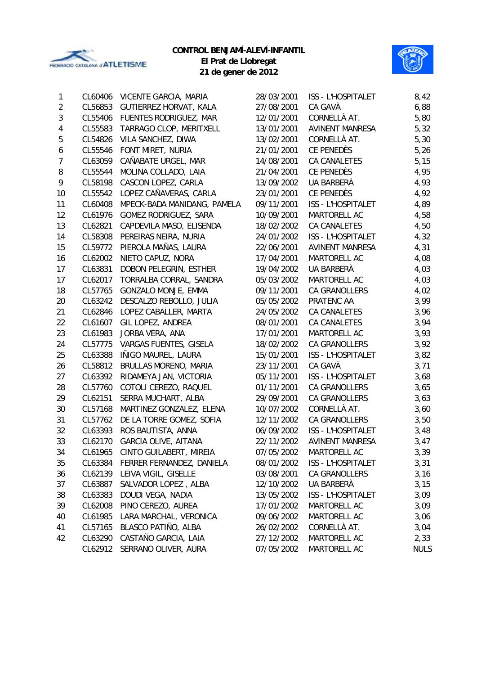

**21 de gener de 2012**





| 1              | CL60406 | VICENTE GARCIA, MARIA         | 28/03/2001 | ISS - L'HOSPITALET        | 8,42        |
|----------------|---------|-------------------------------|------------|---------------------------|-------------|
| $\overline{2}$ | CL56853 | <b>GUTIERREZ HORVAT, KALA</b> | 27/08/2001 | CA GAVÀ                   | 6,88        |
| 3              | CL55406 | FUENTES RODRIGUEZ, MAR        | 12/01/2001 | CORNELLÀ AT.              | 5,80        |
| 4              | CL55583 | TARRAGO CLOP, MERITXELL       | 13/01/2001 | <b>AVINENT MANRESA</b>    | 5,32        |
| 5              | CL54826 | VILA SANCHEZ, DIWA            | 13/02/2001 | CORNELLÀ AT.              | 5,30        |
| 6              | CL55546 | FONT MIRET, NURIA             | 21/01/2001 | CE PENEDÈS                | 5,26        |
| $\overline{7}$ | CL63059 | CAÑABATE URGEL, MAR           | 14/08/2001 | <b>CA CANALETES</b>       | 5,15        |
| 8              | CL55544 | MOLINA COLLADO, LAIA          | 21/04/2001 | CE PENEDÈS                | 4,95        |
| 9              | CL58198 | CASCON LOPEZ, CARLA           | 13/09/2002 | UA BARBERÀ                | 4,93        |
| 10             | CL55542 | LOPEZ CAÑAVERAS, CARLA        | 23/01/2001 | CE PENEDÈS                | 4,92        |
| 11             | CL60408 | MPECK-BADA MANIDANG, PAMELA   | 09/11/2001 | ISS - L'HOSPITALET        | 4,89        |
| 12             | CL61976 | GOMEZ RODRIGUEZ, SARA         | 10/09/2001 | MARTORELL AC              | 4,58        |
| 13             | CL62821 | CAPDEVILA MASO, ELISENDA      | 18/02/2002 | <b>CA CANALETES</b>       | 4,50        |
| 14             | CL58308 | PEREIRAS NEIRA, NURIA         | 24/01/2002 | <b>ISS - L'HOSPITALET</b> | 4,32        |
| 15             | CL59772 | PIEROLA MAÑAS, LAURA          | 22/06/2001 | <b>AVINENT MANRESA</b>    | 4,31        |
| 16             | CL62002 | NIETO CAPUZ, NORA             | 17/04/2001 | MARTORELL AC              | 4,08        |
| 17             | CL63831 | DOBON PELEGRIN, ESTHER        | 19/04/2002 | UA BARBERÀ                | 4,03        |
| 17             | CL62017 | TORRALBA CORRAL, SANDRA       | 05/03/2002 | MARTORELL AC              | 4,03        |
| 18             | CL57765 | GONZALO MONJE, EMMA           | 09/11/2001 | CA GRANOLLERS             | 4,02        |
| 20             | CL63242 | DESCALZO REBOLLO, JULIA       | 05/05/2002 | PRATENC AA                | 3,99        |
| 21             | CL62846 | LOPEZ CABALLER, MARTA         | 24/05/2002 | <b>CA CANALETES</b>       | 3,96        |
| 22             | CL61607 | GIL LOPEZ, ANDREA             | 08/01/2001 | <b>CA CANALETES</b>       | 3,94        |
| 23             | CL61983 | JORBA VERA, ANA               | 17/01/2001 | MARTORELL AC              | 3,93        |
| 24             | CL57775 | VARGAS FUENTES, GISELA        | 18/02/2002 | CA GRANOLLERS             | 3,92        |
| 25             | CL63388 | IÑIGO MAUREL, LAURA           | 15/01/2001 | ISS - L'HOSPITALET        | 3,82        |
| 26             | CL58812 | BRULLAS MORENO, MARIA         | 23/11/2001 | CA GAVÀ                   | 3,71        |
| 27             | CL63392 | RIDAMEYA JAN, VICTORIA        | 05/11/2001 | ISS - L'HOSPITALET        | 3,68        |
| 28             | CL57760 | COTOLI CEREZO, RAQUEL         | 01/11/2001 | CA GRANOLLERS             | 3,65        |
| 29             | CL62151 | SERRA MUCHART, ALBA           | 29/09/2001 | CA GRANOLLERS             | 3,63        |
| 30             | CL57168 | MARTINEZ GONZALEZ, ELENA      | 10/07/2002 | CORNELLÀ AT.              | 3,60        |
| 31             | CL57762 | DE LA TORRE GOMEZ, SOFIA      | 12/11/2002 | CA GRANOLLERS             | 3,50        |
| 32             | CL63393 | ROS BAUTISTA, ANNA            | 06/09/2002 | ISS - L'HOSPITALET        | 3,48        |
| 33             | CL62170 | <b>GARCIA OLIVE, AITANA</b>   | 22/11/2002 | <b>AVINENT MANRESA</b>    | 3,47        |
| 34             | CL61965 | CINTO GUILABERT, MIREIA       | 07/05/2002 | MARTORELL AC              | 3,39        |
| 35             | CL63384 | FERRER FERNANDEZ, DANIELA     | 08/01/2002 | ISS - L'HOSPITALET        | 3,31        |
| 36             | CL62139 | LEIVA VIGIL, GISELLE          | 03/08/2001 | CA GRANOLLERS             | 3,16        |
| 37             | CL63887 | SALVADOR LOPEZ, ALBA          | 12/10/2002 | UA BARBERÀ                | 3,15        |
| 38             | CL63383 | DOUDI VEGA, NADIA             | 13/05/2002 | ISS - L'HOSPITALET        | 3,09        |
| 39             | CL62008 | PINO CEREZO, AUREA            | 17/01/2002 | MARTORELL AC              | 3,09        |
| 40             | CL61985 | LARA MARCHAL, VERONICA        | 09/06/2002 | MARTORELL AC              | 3,06        |
| 41             | CL57165 | BLASCO PATIÑO, ALBA           | 26/02/2002 | CORNELLÀ AT.              | 3,04        |
| 42             | CL63290 | CASTAÑO GARCIA, LAIA          | 27/12/2002 | MARTORELL AC              | 2,33        |
|                | CL62912 | SERRANO OLIVER, AURA          | 07/05/2002 | MARTORELL AC              | <b>NULS</b> |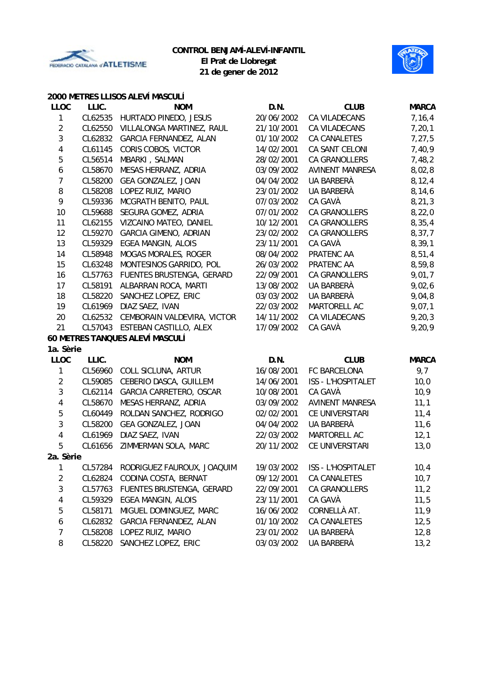



### **2000 METRES LLISOS ALEVÍ MASCULÍ**

| <b>LLOC</b>    | LLIC.   | <b>NOM</b>                      | D.N.       | <b>CLUB</b>               | <b>MARCA</b> |
|----------------|---------|---------------------------------|------------|---------------------------|--------------|
| 1              | CL62535 | HURTADO PINEDO, JESUS           | 20/06/2002 | CA VILADECANS             | 7,16,4       |
| $\overline{2}$ | CL62550 | VILLALONGA MARTINEZ, RAUL       | 21/10/2001 | CA VILADECANS             | 7, 20, 1     |
| $\sqrt{3}$     | CL62832 | GARCIA FERNANDEZ, ALAN          | 01/10/2002 | CA CANALETES              | 7,27,5       |
| 4              | CL61145 | CORIS COBOS, VICTOR             | 14/02/2001 | CA SANT CELONI            | 7,40,9       |
| 5              | CL56514 | MBARKI, SALMAN                  | 28/02/2001 | CA GRANOLLERS             | 7,48,2       |
| 6              | CL58670 | MESAS HERRANZ, ADRIA            | 03/09/2002 | <b>AVINENT MANRESA</b>    | 8,02,8       |
| 7              | CL58200 | GEA GONZALEZ, JOAN              | 04/04/2002 | UA BARBERÀ                | 8, 12, 4     |
| 8              | CL58208 | LOPEZ RUIZ, MARIO               | 23/01/2002 | UA BARBERÀ                | 8,14,6       |
| 9              | CL59336 | MCGRATH BENITO, PAUL            | 07/03/2002 | CA GAVÀ                   | 8, 21, 3     |
| 10             | CL59688 | SEGURA GOMEZ, ADRIA             | 07/01/2002 | CA GRANOLLERS             | 8,22,0       |
| 11             | CL62155 | VIZCAINO MATEO, DANIEL          | 10/12/2001 | CA GRANOLLERS             | 8, 35, 4     |
| 12             | CL59270 | <b>GARCIA GIMENO, ADRIAN</b>    | 23/02/2002 | CA GRANOLLERS             | 8,37,7       |
| 13             | CL59329 | EGEA MANGIN, ALOIS              | 23/11/2001 | CA GAVÀ                   | 8, 39, 1     |
| 14             | CL58948 | <b>MOGAS MORALES, ROGER</b>     | 08/04/2002 | PRATENC AA                | 8,51,4       |
| 15             | CL63248 | MONTESINOS GARRIDO, POL         | 26/03/2002 | PRATENC AA                | 8,59,8       |
| 16             | CL57763 | FUENTES BRUSTENGA, GERARD       | 22/09/2001 | <b>CA GRANOLLERS</b>      | 9,01,7       |
| 17             | CL58191 | ALBARRAN ROCA, MARTI            | 13/08/2002 | <b>UA BARBERÀ</b>         | 9,02,6       |
| 18             | CL58220 | SANCHEZ LOPEZ, ERIC             | 03/03/2002 | UA BARBERÀ                | 9,04,8       |
| 19             | CL61969 | DIAZ SAEZ, IVAN                 | 22/03/2002 | MARTORELL AC              | 9,07,1       |
| 20             | CL62532 | CEMBORAIN VALDEVIRA, VICTOR     | 14/11/2002 | CA VILADECANS             | 9, 20, 3     |
| 21             | CL57043 | ESTEBAN CASTILLO, ALEX          | 17/09/2002 | CA GAVÀ                   | 9,20,9       |
|                |         | 60 METRES TANQUES ALEVÍ MASCULÍ |            |                           |              |
| 1a. Sèrie      |         |                                 |            |                           |              |
| <b>LLOC</b>    | LLIC.   | <b>NOM</b>                      | D.N.       | <b>CLUB</b>               | <b>MARCA</b> |
| 1              | CL56960 | COLL SICLUNA, ARTUR             | 16/08/2001 | FC BARCELONA              | 9,7          |
| $\overline{c}$ | CL59085 | CEBERIO DASCA, GUILLEM          | 14/06/2001 | ISS - L'HOSPITALET        | 10,0         |
| $\sqrt{3}$     | CL62114 | GARCIA CARRETERO, OSCAR         | 10/08/2001 | CA GAVÀ                   | 10,9         |
| 4              | CL58670 | MESAS HERRANZ, ADRIA            | 03/09/2002 | <b>AVINENT MANRESA</b>    | 11,1         |
| 5              | CL60449 | ROLDAN SANCHEZ, RODRIGO         | 02/02/2001 | CE UNIVERSITARI           | 11,4         |
| $\sqrt{3}$     | CL58200 | GEA GONZALEZ, JOAN              | 04/04/2002 | UA BARBERÀ                | 11,6         |
| 4              | CL61969 | DIAZ SAEZ, IVAN                 | 22/03/2002 | MARTORELL AC              | 12,1         |
| 5              | CL61656 | ZIMMERMAN SOLA, MARC            | 20/11/2002 | CE UNIVERSITARI           | 13,0         |
| 2a. Sèrie      |         |                                 |            |                           |              |
| 1              | CL57284 | RODRIGUEZ FAUROUX, JOAQUIM      | 19/03/2002 | <b>ISS - L'HOSPITALET</b> | 10,4         |
| $\overline{2}$ | CL62824 | CODINA COSTA, BERNAT            | 09/12/2001 | <b>CA CANALETES</b>       | 10,7         |
| 3              | CL57763 | FUENTES BRUSTENGA, GERARD       | 22/09/2001 | <b>CA GRANOLLERS</b>      | 11,2         |
| 4              | CL59329 | <b>EGEA MANGIN, ALOIS</b>       | 23/11/2001 | CA GAVÀ                   | 11,5         |
| 5              | CL58171 | MIGUEL DOMINGUEZ, MARC          | 16/06/2002 | CORNELLÀ AT.              | 11,9         |
| 6              | CL62832 | GARCIA FERNANDEZ, ALAN          | 01/10/2002 | CA CANALETES              | 12,5         |
| 7              | CL58208 | LOPEZ RUIZ, MARIO               | 23/01/2002 | UA BARBERÀ                | 12,8         |
| 8              | CL58220 | SANCHEZ LOPEZ, ERIC             | 03/03/2002 | UA BARBERÀ                | 13,2         |
|                |         |                                 |            |                           |              |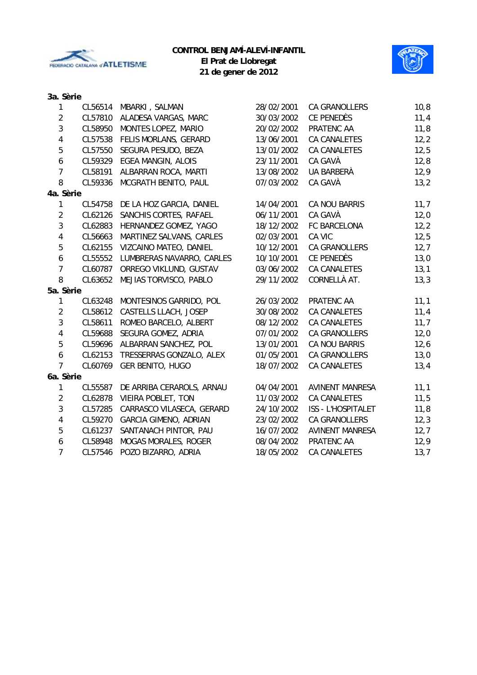

**21 de gener de 2012**



# **3a. Sèrie**

| $\mathbf{1}$            | CL56514 | MBARKI, SALMAN               | 28/02/2001 | <b>CA GRANOLLERS</b>      | 10,8 |
|-------------------------|---------|------------------------------|------------|---------------------------|------|
| $\overline{2}$          | CL57810 | ALADESA VARGAS, MARC         | 30/03/2002 | CE PENEDÈS                | 11,4 |
| 3                       | CL58950 | MONTES LOPEZ, MARIO          | 20/02/2002 | PRATENC AA                | 11,8 |
| $\overline{\mathbf{4}}$ | CL57538 | FELIS MORLANS, GERARD        | 13/06/2001 | CA CANALETES              | 12,2 |
| 5                       | CL57550 | SEGURA PESUDO, BEZA          | 13/01/2002 | <b>CA CANALETES</b>       | 12,5 |
| 6                       | CL59329 | EGEA MANGIN, ALOIS           | 23/11/2001 | CA GAVÀ                   | 12,8 |
| $\overline{7}$          | CL58191 | ALBARRAN ROCA, MARTI         | 13/08/2002 | UA BARBERÀ                | 12,9 |
| 8                       | CL59336 | MCGRATH BENITO, PAUL         | 07/03/2002 | CA GAVÀ                   | 13,2 |
| 4a. Sèrie               |         |                              |            |                           |      |
| $\mathbf{1}$            | CL54758 | DE LA HOZ GARCIA, DANIEL     | 14/04/2001 | CA NOU BARRIS             | 11,7 |
| $\overline{2}$          | CL62126 | SANCHIS CORTES, RAFAEL       | 06/11/2001 | CA GAVÀ                   | 12,0 |
| 3                       | CL62883 | HERNANDEZ GOMEZ, YAGO        | 18/12/2002 | FC BARCELONA              | 12,2 |
| 4                       | CL56663 | MARTINEZ SALVANS, CARLES     | 02/03/2001 | CA VIC                    | 12,5 |
| 5                       | CL62155 | VIZCAINO MATEO, DANIEL       | 10/12/2001 | <b>CA GRANOLLERS</b>      | 12,7 |
| $\boldsymbol{6}$        | CL55552 | LUMBRERAS NAVARRO, CARLES    | 10/10/2001 | CE PENEDÈS                | 13,0 |
| $\overline{7}$          | CL60787 | ORREGO VIKLUND, GUSTAV       | 03/06/2002 | <b>CA CANALETES</b>       | 13,1 |
| 8                       | CL63652 | MEJIAS TORVISCO, PABLO       | 29/11/2002 | CORNELLÀ AT.              | 13,3 |
| 5a. Sèrie               |         |                              |            |                           |      |
| 1                       | CL63248 | MONTESINOS GARRIDO, POL      | 26/03/2002 | PRATENC AA                | 11,1 |
| $\overline{2}$          | CL58612 | CASTELLS LLACH, JOSEP        | 30/08/2002 | <b>CA CANALETES</b>       | 11,4 |
| 3                       | CL58611 | ROMEO BARCELO, ALBERT        | 08/12/2002 | <b>CA CANALETES</b>       | 11,7 |
| $\overline{4}$          | CL59688 | SEGURA GOMEZ, ADRIA          | 07/01/2002 | <b>CA GRANOLLERS</b>      | 12,0 |
| 5                       | CL59696 | ALBARRAN SANCHEZ, POL        | 13/01/2001 | CA NOU BARRIS             | 12,6 |
| $\boldsymbol{6}$        | CL62153 | TRESSERRAS GONZALO, ALEX     | 01/05/2001 | CA GRANOLLERS             | 13,0 |
| $\overline{7}$          | CL60769 | GER BENITO, HUGO             | 18/07/2002 | <b>CA CANALETES</b>       | 13,4 |
| 6a. Sèrie               |         |                              |            |                           |      |
| 1                       | CL55587 | DE ARRIBA CERAROLS, ARNAU    | 04/04/2001 | <b>AVINENT MANRESA</b>    | 11,1 |
| $\overline{2}$          | CL62878 | VIEIRA POBLET, TON           | 11/03/2002 | <b>CA CANALETES</b>       | 11,5 |
| 3                       | CL57285 | CARRASCO VILASECA, GERARD    | 24/10/2002 | <b>ISS - L'HOSPITALET</b> | 11,8 |
| $\overline{4}$          | CL59270 | <b>GARCIA GIMENO, ADRIAN</b> | 23/02/2002 | <b>CA GRANOLLERS</b>      | 12,3 |
| 5                       | CL61237 | SANTANACH PINTOR, PAU        | 16/07/2002 | <b>AVINENT MANRESA</b>    | 12,7 |
| 6                       | CL58948 | <b>MOGAS MORALES, ROGER</b>  | 08/04/2002 | PRATENC AA                | 12,9 |
| $\overline{7}$          | CL57546 | POZO BIZARRO, ADRIA          | 18/05/2002 | <b>CA CANALETES</b>       | 13,7 |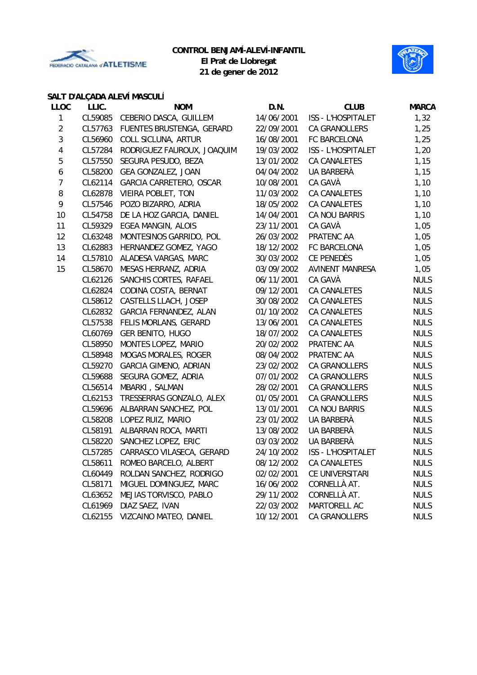



## **SALT D'ALÇADA ALEVÍ MASCULÍ**

| <b>LLOC</b>    | LLIC.   | <b>NOM</b>                   | D.N.       | <b>CLUB</b>               | <b>MARCA</b> |
|----------------|---------|------------------------------|------------|---------------------------|--------------|
| 1              | CL59085 | CEBERIO DASCA, GUILLEM       | 14/06/2001 | ISS - L'HOSPITALET        | 1,32         |
| $\overline{2}$ | CL57763 | FUENTES BRUSTENGA, GERARD    | 22/09/2001 | <b>CA GRANOLLERS</b>      | 1,25         |
| $\mathfrak{Z}$ | CL56960 | COLL SICLUNA, ARTUR          | 16/08/2001 | FC BARCELONA              | 1,25         |
| $\pmb{4}$      | CL57284 | RODRIGUEZ FAUROUX, JOAQUIM   | 19/03/2002 | <b>ISS - L'HOSPITALET</b> | 1,20         |
| $\mathbf 5$    | CL57550 | SEGURA PESUDO, BEZA          | 13/01/2002 | <b>CA CANALETES</b>       | 1,15         |
| 6              | CL58200 | GEA GONZALEZ, JOAN           | 04/04/2002 | UA BARBERÀ                | 1,15         |
| $\overline{7}$ | CL62114 | GARCIA CARRETERO, OSCAR      | 10/08/2001 | CA GAVÀ                   | 1,10         |
| 8              | CL62878 | <b>VIEIRA POBLET, TON</b>    | 11/03/2002 | CA CANALETES              | 1,10         |
| 9              | CL57546 | POZO BIZARRO, ADRIA          | 18/05/2002 | CA CANALETES              | 1,10         |
| 10             | CL54758 | DE LA HOZ GARCIA, DANIEL     | 14/04/2001 | CA NOU BARRIS             | 1,10         |
| 11             | CL59329 | EGEA MANGIN, ALOIS           | 23/11/2001 | CA GAVÀ                   | 1,05         |
| 12             | CL63248 | MONTESINOS GARRIDO, POL      | 26/03/2002 | PRATENC AA                | 1,05         |
| 13             | CL62883 | HERNANDEZ GOMEZ, YAGO        | 18/12/2002 | FC BARCELONA              | 1,05         |
| 14             | CL57810 | ALADESA VARGAS, MARC         | 30/03/2002 | CE PENEDÈS                | 1,05         |
| 15             | CL58670 | MESAS HERRANZ, ADRIA         | 03/09/2002 | <b>AVINENT MANRESA</b>    | 1,05         |
|                | CL62126 | SANCHIS CORTES, RAFAEL       | 06/11/2001 | CA GAVÀ                   | <b>NULS</b>  |
|                | CL62824 | CODINA COSTA, BERNAT         | 09/12/2001 | CA CANALETES              | <b>NULS</b>  |
|                | CL58612 | CASTELLS LLACH, JOSEP        | 30/08/2002 | CA CANALETES              | <b>NULS</b>  |
|                | CL62832 | GARCIA FERNANDEZ, ALAN       | 01/10/2002 | CA CANALETES              | <b>NULS</b>  |
|                | CL57538 | FELIS MORLANS, GERARD        | 13/06/2001 | CA CANALETES              | <b>NULS</b>  |
|                | CL60769 | GER BENITO, HUGO             | 18/07/2002 | CA CANALETES              | <b>NULS</b>  |
|                | CL58950 | MONTES LOPEZ, MARIO          | 20/02/2002 | PRATENC AA                | <b>NULS</b>  |
|                | CL58948 | <b>MOGAS MORALES, ROGER</b>  | 08/04/2002 | PRATENC AA                | <b>NULS</b>  |
|                | CL59270 | <b>GARCIA GIMENO, ADRIAN</b> | 23/02/2002 | CA GRANOLLERS             | <b>NULS</b>  |
|                | CL59688 | SEGURA GOMEZ, ADRIA          | 07/01/2002 | CA GRANOLLERS             | <b>NULS</b>  |
|                | CL56514 | MBARKI, SALMAN               | 28/02/2001 | CA GRANOLLERS             | <b>NULS</b>  |
|                | CL62153 | TRESSERRAS GONZALO, ALEX     | 01/05/2001 | <b>CA GRANOLLERS</b>      | <b>NULS</b>  |
|                | CL59696 | ALBARRAN SANCHEZ, POL        | 13/01/2001 | CA NOU BARRIS             | <b>NULS</b>  |
|                | CL58208 | LOPEZ RUIZ, MARIO            | 23/01/2002 | UA BARBERÀ                | <b>NULS</b>  |
|                | CL58191 | ALBARRAN ROCA, MARTI         | 13/08/2002 | UA BARBERÀ                | <b>NULS</b>  |
|                | CL58220 | SANCHEZ LOPEZ, ERIC          | 03/03/2002 | UA BARBERÀ                | <b>NULS</b>  |
|                | CL57285 | CARRASCO VILASECA, GERARD    | 24/10/2002 | ISS - L'HOSPITALET        | <b>NULS</b>  |
|                | CL58611 | ROMEO BARCELO, ALBERT        | 08/12/2002 | CA CANALETES              | <b>NULS</b>  |
|                | CL60449 | ROLDAN SANCHEZ, RODRIGO      | 02/02/2001 | CE UNIVERSITARI           | <b>NULS</b>  |
|                | CL58171 | MIGUEL DOMINGUEZ, MARC       | 16/06/2002 | CORNELLÀ AT.              | <b>NULS</b>  |
|                | CL63652 | MEJIAS TORVISCO, PABLO       | 29/11/2002 | CORNELLÀ AT.              | <b>NULS</b>  |
|                | CL61969 | DIAZ SAEZ, IVAN              | 22/03/2002 | MARTORELL AC              | <b>NULS</b>  |
|                | CL62155 | VIZCAINO MATEO, DANIEL       | 10/12/2001 | CA GRANOLLERS             | <b>NULS</b>  |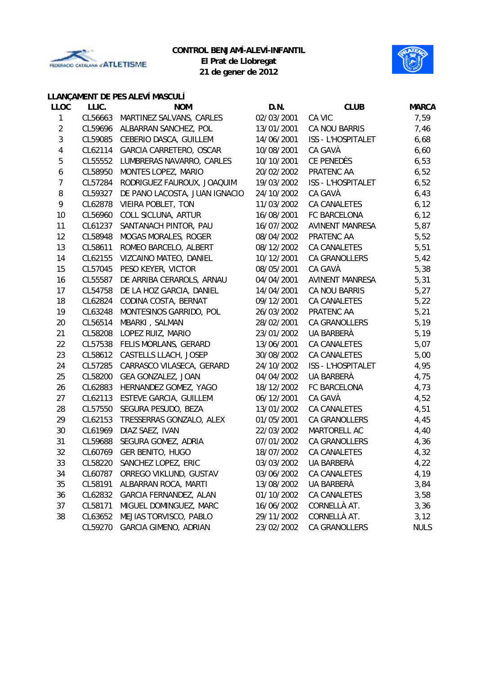



# **21 de gener de 2012**

# **LLANÇAMENT DE PES ALEVÍ MASCULÍ**

| <b>LLOC</b>    | LLIC.   | <b>NOM</b>                    | D.N.       | <b>CLUB</b>               | <b>MARCA</b> |
|----------------|---------|-------------------------------|------------|---------------------------|--------------|
| 1              | CL56663 | MARTINEZ SALVANS, CARLES      | 02/03/2001 | CA VIC                    | 7,59         |
| $\sqrt{2}$     | CL59696 | ALBARRAN SANCHEZ, POL         | 13/01/2001 | CA NOU BARRIS             | 7,46         |
| 3              | CL59085 | CEBERIO DASCA, GUILLEM        | 14/06/2001 | ISS - L'HOSPITALET        | 6,68         |
| 4              | CL62114 | GARCIA CARRETERO, OSCAR       | 10/08/2001 | CA GAVÀ                   | 6,60         |
| 5              | CL55552 | LUMBRERAS NAVARRO, CARLES     | 10/10/2001 | CE PENEDÈS                | 6,53         |
| 6              | CL58950 | MONTES LOPEZ, MARIO           | 20/02/2002 | PRATENC AA                | 6,52         |
| $\overline{7}$ | CL57284 | RODRIGUEZ FAUROUX, JOAQUIM    | 19/03/2002 | ISS - L'HOSPITALET        | 6,52         |
| 8              | CL59327 | DE PANO LACOSTA, JUAN IGNACIO | 24/10/2002 | CA GAVÀ                   | 6,43         |
| 9              | CL62878 | VIEIRA POBLET, TON            | 11/03/2002 | CA CANALETES              | 6, 12        |
| 10             | CL56960 | COLL SICLUNA, ARTUR           | 16/08/2001 | FC BARCELONA              | 6, 12        |
| 11             | CL61237 | SANTANACH PINTOR, PAU         | 16/07/2002 | <b>AVINENT MANRESA</b>    | 5,87         |
| 12             | CL58948 | <b>MOGAS MORALES, ROGER</b>   | 08/04/2002 | PRATENC AA                | 5,52         |
| 13             | CL58611 | ROMEO BARCELO, ALBERT         | 08/12/2002 | CA CANALETES              | 5,51         |
| 14             | CL62155 | VIZCAINO MATEO, DANIEL        | 10/12/2001 | CA GRANOLLERS             | 5,42         |
| 15             | CL57045 | PESO KEYER, VICTOR            | 08/05/2001 | CA GAVÀ                   | 5,38         |
| 16             | CL55587 | DE ARRIBA CERAROLS, ARNAU     | 04/04/2001 | <b>AVINENT MANRESA</b>    | 5,31         |
| 17             | CL54758 | DE LA HOZ GARCIA, DANIEL      | 14/04/2001 | CA NOU BARRIS             | 5,27         |
| 18             | CL62824 | CODINA COSTA, BERNAT          | 09/12/2001 | CA CANALETES              | 5,22         |
| 19             | CL63248 | MONTESINOS GARRIDO, POL       | 26/03/2002 | PRATENC AA                | 5,21         |
| 20             | CL56514 | MBARKI, SALMAN                | 28/02/2001 | CA GRANOLLERS             | 5,19         |
| 21             | CL58208 | LOPEZ RUIZ, MARIO             | 23/01/2002 | UA BARBERÀ                | 5,19         |
| 22             | CL57538 | FELIS MORLANS, GERARD         | 13/06/2001 | CA CANALETES              | 5,07         |
| 23             | CL58612 | CASTELLS LLACH, JOSEP         | 30/08/2002 | CA CANALETES              | 5,00         |
| 24             | CL57285 | CARRASCO VILASECA, GERARD     | 24/10/2002 | <b>ISS - L'HOSPITALET</b> | 4,95         |
| 25             | CL58200 | GEA GONZALEZ, JOAN            | 04/04/2002 | UA BARBERÀ                | 4,75         |
| 26             | CL62883 | HERNANDEZ GOMEZ, YAGO         | 18/12/2002 | FC BARCELONA              | 4,73         |
| 27             | CL62113 | ESTEVE GARCIA, GUILLEM        | 06/12/2001 | CA GAVÀ                   | 4,52         |
| 28             | CL57550 | SEGURA PESUDO, BEZA           | 13/01/2002 | CA CANALETES              | 4,51         |
| 29             | CL62153 | TRESSERRAS GONZALO, ALEX      | 01/05/2001 | CA GRANOLLERS             | 4,45         |
| 30             | CL61969 | DIAZ SAEZ, IVAN               | 22/03/2002 | MARTORELL AC              | 4,40         |
| 31             | CL59688 | SEGURA GOMEZ, ADRIA           | 07/01/2002 | CA GRANOLLERS             | 4,36         |
| 32             | CL60769 | GER BENITO, HUGO              | 18/07/2002 | <b>CA CANALETES</b>       | 4,32         |
| 33             |         | CL58220 SANCHEZ LOPEZ, ERIC   | 03/03/2002 | <b>UA BARBERÀ</b>         | 4,22         |
| 34             | CL60787 | ORREGO VIKLUND, GUSTAV        | 03/06/2002 | CA CANALETES              | 4,19         |
| 35             | CL58191 | ALBARRAN ROCA, MARTI          | 13/08/2002 | <b>UA BARBERÀ</b>         | 3,84         |
| 36             | CL62832 | GARCIA FERNANDEZ, ALAN        | 01/10/2002 | CA CANALETES              | 3,58         |
| 37             | CL58171 | MIGUEL DOMINGUEZ, MARC        | 16/06/2002 | CORNELLÀ AT.              | 3,36         |
| 38             | CL63652 | MEJIAS TORVISCO, PABLO        | 29/11/2002 | CORNELLÀ AT.              | 3,12         |
|                | CL59270 | <b>GARCIA GIMENO, ADRIAN</b>  | 23/02/2002 | <b>CA GRANOLLERS</b>      | <b>NULS</b>  |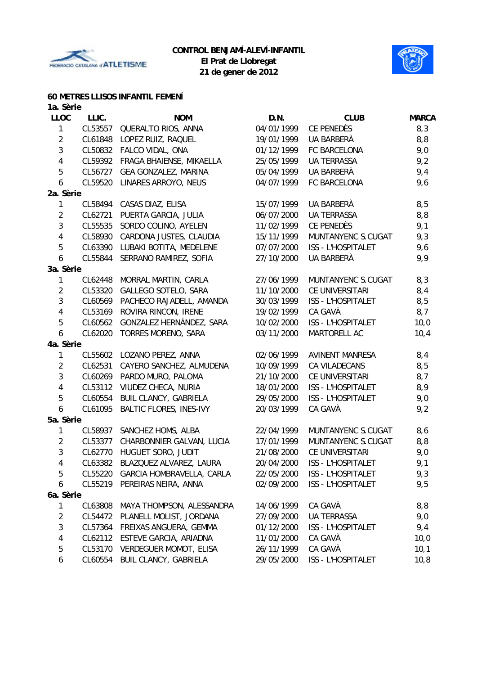



### **60 METRES LLISOS INFANTIL FEMENÍ**

| 1a. Sèrie      |         |                                |            |                        |              |
|----------------|---------|--------------------------------|------------|------------------------|--------------|
| <b>LLOC</b>    | LLIC.   | <b>NOM</b>                     | D.N.       | <b>CLUB</b>            | <b>MARCA</b> |
| 1              | CL53557 | QUERALTO RIOS, ANNA            | 04/01/1999 | CE PENEDÈS             | 8,3          |
| $\overline{2}$ | CL61848 | LOPEZ RUIZ, RAQUEL             | 19/01/1999 | UA BARBERÀ             | 8,8          |
| 3              | CL50832 | FALCO VIDAL, ONA               | 01/12/1999 | FC BARCELONA           | 9,0          |
| 4              | CL59392 | FRAGA BHAIENSE, MIKAELLA       | 25/05/1999 | <b>UA TERRASSA</b>     | 9,2          |
| 5              | CL56727 | GEA GONZALEZ, MARINA           | 05/04/1999 | UA BARBERÀ             | 9,4          |
| 6              | CL59520 | LINARES ARROYO, NEUS           | 04/07/1999 | FC BARCELONA           | 9,6          |
| 2a. Sèrie      |         |                                |            |                        |              |
| 1              | CL58494 | CASAS DIAZ, ELISA              | 15/07/1999 | UA BARBERÀ             | 8,5          |
| $\overline{2}$ | CL62721 | PUERTA GARCIA, JULIA           | 06/07/2000 | <b>UA TERRASSA</b>     | 8,8          |
| 3              | CL55535 | SORDO COLINO, AYELEN           | 11/02/1999 | CE PENEDÈS             | 9,1          |
| 4              | CL58930 | CARDONA JUSTES, CLAUDIA        | 15/11/1999 | MUNTANYENC S.CUGAT     | 9,3          |
| 5              | CL63390 | LUBAKI BOTITA, MEDELENE        | 07/07/2000 | ISS - L'HOSPITALET     | 9,6          |
| 6              | CL55844 | SERRANO RAMIREZ, SOFIA         | 27/10/2000 | UA BARBERÀ             | 9,9          |
| 3a. Sèrie      |         |                                |            |                        |              |
| 1              | CL62448 | MORRAL MARTIN, CARLA           | 27/06/1999 | MUNTANYENC S.CUGAT     | 8,3          |
| $\overline{2}$ | CL53320 | GALLEGO SOTELO, SARA           | 11/10/2000 | CE UNIVERSITARI        | 8,4          |
| 3              | CL60569 | PACHECO RAJADELL, AMANDA       | 30/03/1999 | ISS - L'HOSPITALET     | 8,5          |
| $\overline{4}$ | CL53169 | ROVIRA RINCON, IRENE           | 19/02/1999 | CA GAVÀ                | 8,7          |
| 5              | CL60562 | GONZALEZ HERNÁNDEZ, SARA       | 10/02/2000 | ISS - L'HOSPITALET     | 10,0         |
| 6              | CL62020 | TORRES MORENO, SARA            | 03/11/2000 | MARTORELL AC           | 10,4         |
| 4a. Sèrie      |         |                                |            |                        |              |
| 1              | CL55602 | LOZANO PEREZ, ANNA             | 02/06/1999 | <b>AVINENT MANRESA</b> | 8,4          |
| $\overline{2}$ | CL62531 | CAYERO SANCHEZ, ALMUDENA       | 10/09/1999 | CA VILADECANS          | 8,5          |
| 3              | CL60269 | PARDO MURO, PALOMA             | 21/10/2000 | CE UNIVERSITARI        | 8,7          |
| 4              | CL53112 | VIUDEZ CHECA, NURIA            | 18/01/2000 | ISS - L'HOSPITALET     | 8,9          |
| 5              | CL60554 | BUIL CLANCY, GABRIELA          | 29/05/2000 | ISS - L'HOSPITALET     | 9,0          |
| 6              | CL61095 | <b>BALTIC FLORES, INES-IVY</b> | 20/03/1999 | CA GAVÀ                | 9,2          |
| 5a. Sèrie      |         |                                |            |                        |              |
| 1              | CL58937 | SANCHEZ HOMS, ALBA             | 22/04/1999 | MUNTANYENC S.CUGAT     | 8,6          |
| $\overline{2}$ | CL53377 | CHARBONNIER GALVAN, LUCIA      | 17/01/1999 | MUNTANYENC S.CUGAT     | 8,8          |
| 3              | CL62770 | HUGUET SORO, JUDIT             | 21/08/2000 | CE UNIVERSITARI        | 9,0          |
| 4              | CL63382 | BLAZQUEZ ALVAREZ, LAURA        | 20/04/2000 | ISS - L'HOSPITALET     | 9,1          |
| 5              | CL55220 | GARCIA HOMBRAVELLA, CARLA      | 22/05/2000 | ISS - L'HOSPITALET     | 9,3          |
| 6              | CL55219 | PEREIRAS NEIRA, ANNA           | 02/09/2000 | ISS - L'HOSPITALET     | 9,5          |
| 6a. Sèrie      |         |                                |            |                        |              |
| 1              | CL63808 | MAYA THOMPSON, ALESSANDRA      | 14/06/1999 | CA GAVÀ                | 8,8          |
| 2              | CL54472 | PLANELL MOLIST, JORDANA        | 27/09/2000 | <b>UA TERRASSA</b>     | 9,0          |
| 3              | CL57364 | FREIXAS ANGUERA, GEMMA         | 01/12/2000 | ISS - L'HOSPITALET     | 9,4          |
| 4              | CL62112 | ESTEVE GARCIA, ARIADNA         | 11/01/2000 | CA GAVÀ                | 10,0         |
| 5              | CL53170 | <b>VERDEGUER MOMOT, ELISA</b>  | 26/11/1999 | CA GAVÀ                | 10,1         |
| 6              | CL60554 | <b>BUIL CLANCY, GABRIELA</b>   | 29/05/2000 | ISS - L'HOSPITALET     | 10, 8        |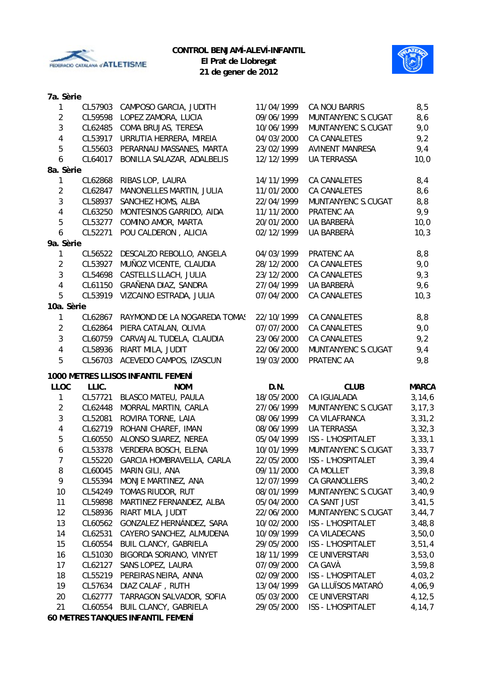



**21 de gener de 2012**

### **7a. Sèrie**

| $\mathbf{1}$            | CL57903 | CAMPOSO GARCIA, JUDITH             | 11/04/1999 | CA NOU BARRIS             | 8,5          |
|-------------------------|---------|------------------------------------|------------|---------------------------|--------------|
| $\overline{2}$          | CL59598 | LOPEZ ZAMORA, LUCIA                | 09/06/1999 | MUNTANYENC S.CUGAT        | 8,6          |
| $\mathfrak{Z}$          | CL62485 | COMA BRUJAS, TERESA                | 10/06/1999 | MUNTANYENC S.CUGAT        | 9,0          |
| 4                       | CL53917 | URRUTIA HERRERA, MIREIA            | 04/03/2000 | <b>CA CANALETES</b>       | 9,2          |
| 5                       | CL55603 | PERARNAU MASSANES, MARTA           | 23/02/1999 | <b>AVINENT MANRESA</b>    | 9,4          |
| 6                       | CL64017 | BONILLA SALAZAR, ADALBELIS         | 12/12/1999 | <b>UA TERRASSA</b>        | 10,0         |
| 8a. Sèrie               |         |                                    |            |                           |              |
| $\mathbf{1}$            | CL62868 | RIBAS LOP, LAURA                   | 14/11/1999 | CA CANALETES              | 8,4          |
| $\overline{2}$          | CL62847 | MANONELLES MARTIN, JULIA           | 11/01/2000 | CA CANALETES              | 8,6          |
| $\sqrt{3}$              | CL58937 | SANCHEZ HOMS, ALBA                 | 22/04/1999 | MUNTANYENC S.CUGAT        | 8,8          |
| 4                       | CL63250 | MONTESINOS GARRIDO, AIDA           | 11/11/2000 | PRATENC AA                | 9,9          |
| 5                       | CL53277 | COMINO AMOR, MARTA                 | 20/01/2000 | UA BARBERÀ                | 10,0         |
| $\boldsymbol{6}$        | CL52271 | POU CALDERON, ALICIA               | 02/12/1999 | UA BARBERÀ                | 10,3         |
| 9a. Sèrie               |         |                                    |            |                           |              |
| $\mathbf{1}$            | CL56522 | DESCALZO REBOLLO, ANGELA           | 04/03/1999 | PRATENC AA                | 8,8          |
| $\overline{2}$          | CL53927 | MUÑOZ VICENTE, CLAUDIA             | 28/12/2000 | CA CANALETES              | 9,0          |
| $\sqrt{3}$              | CL54698 | CASTELLS LLACH, JULIA              | 23/12/2000 | CA CANALETES              | 9,3          |
| $\overline{\mathbf{4}}$ | CL61150 | GRAÑENA DIAZ, SANDRA               | 27/04/1999 | UA BARBERÀ                | 9,6          |
| 5                       | CL53919 | VIZCAINO ESTRADA, JULIA            | 07/04/2000 | <b>CA CANALETES</b>       | 10,3         |
| 10a. Sèrie              |         |                                    |            |                           |              |
| $\mathbf{1}$            | CL62867 | RAYMOND DE LA NOGAREDA TOMAS       | 22/10/1999 | <b>CA CANALETES</b>       | 8,8          |
| $\overline{2}$          | CL62864 | PIERA CATALAN, OLIVIA              | 07/07/2000 | CA CANALETES              | 9,0          |
| $\mathfrak{Z}$          | CL60759 | CARVAJAL TUDELA, CLAUDIA           | 23/06/2000 | CA CANALETES              | 9,2          |
|                         |         |                                    |            |                           |              |
| $\overline{4}$          | CL58936 | RIART MILA, JUDIT                  | 22/06/2000 | MUNTANYENC S.CUGAT        | 9,4          |
| 5                       | CL56703 | ACEVEDO CAMPOS, IZASCUN            | 19/03/2000 | PRATENC AA                | 9,8          |
|                         |         | 1000 METRES LLISOS INFANTIL FEMENÍ |            |                           |              |
| <b>LLOC</b>             | LLIC.   | <b>NOM</b>                         | D.N.       | <b>CLUB</b>               | <b>MARCA</b> |
| $\mathbf{1}$            | CL57721 | <b>BLASCO MATEU, PAULA</b>         | 18/05/2000 | CA IGUALADA               | 3, 14, 6     |
| $\overline{2}$          | CL62448 | MORRAL MARTIN, CARLA               | 27/06/1999 | MUNTANYENC S.CUGAT        | 3, 17, 3     |
| $\sqrt{3}$              | CL52081 | ROVIRA TORNE, LAIA                 | 08/06/1999 | CA VILAFRANCA             | 3, 31, 2     |
| 4                       | CL62719 | ROHANI CHAREF, IMAN                | 08/06/1999 | <b>UA TERRASSA</b>        | 3, 32, 3     |
| $\sqrt{5}$              | CL60550 | ALONSO SUAREZ, NEREA               | 05/04/1999 | ISS - L'HOSPITALET        | 3, 33, 1     |
| $\boldsymbol{6}$        | CL53378 | VERDERA BOSCH, ELENA               | 10/01/1999 | MUNTANYENC S.CUGAT        | 3, 33, 7     |
| $\overline{7}$          | CL55220 | GARCIA HOMBRAVELLA, CARLA          | 22/05/2000 | <b>ISS - L'HOSPITALET</b> | 3,39,4       |
| 8                       | CL60045 | MARIN GILI, ANA                    | 09/11/2000 | CA MOLLET                 | 3, 39, 8     |
| 9                       | CL55394 | MONJE MARTINEZ, ANA                | 12/07/1999 | <b>CA GRANOLLERS</b>      | 3,40,2       |
| 10                      | CL54249 | TOMAS RIUDOR, RUT                  | 08/01/1999 | MUNTANYENC S.CUGAT        | 3,40,9       |
| 11                      | CL59898 | MARTINEZ FERNANDEZ, ALBA           | 05/04/2000 | CA SANT JUST              | 3,41,5       |
| 12                      | CL58936 | RIART MILA, JUDIT                  | 22/06/2000 | MUNTANYENC S.CUGAT        | 3,44,7       |
| 13                      | CL60562 | GONZALEZ HERNÁNDEZ, SARA           | 10/02/2000 | <b>ISS - L'HOSPITALET</b> | 3,48,8       |
| 14                      | CL62531 | CAYERO SANCHEZ, ALMUDENA           | 10/09/1999 | CA VILADECANS             | 3,50,0       |
| 15                      | CL60554 | <b>BUIL CLANCY, GABRIELA</b>       | 29/05/2000 | <b>ISS - L'HOSPITALET</b> | 3,51,4       |
| 16                      | CL51030 | BIGORDA SORIANO, VINYET            | 18/11/1999 | CE UNIVERSITARI           | 3,53,0       |
| 17                      | CL62127 | SANS LOPEZ, LAURA                  | 07/09/2000 | CA GAVÀ                   | 3,59,8       |
| 18                      | CL55219 | PEREIRAS NEIRA, ANNA               | 02/09/2000 | <b>ISS - L'HOSPITALET</b> | 4,03,2       |
| 19                      | CL57634 | DIAZ CALAF, RUTH                   | 13/04/1999 | <b>GA LLUÏSOS MATARÓ</b>  | 4,06,9       |
| 20                      | CL62777 | TARRAGON SALVADOR, SOFIA           | 05/03/2000 | CE UNIVERSITARI           | 4,12,5       |
| 21                      | CL60554 | <b>BUIL CLANCY, GABRIELA</b>       | 29/05/2000 | ISS - L'HOSPITALET        | 4,14,7       |
|                         |         |                                    |            |                           |              |

**60 METRES TANQUES INFANTIL FEMENÍ**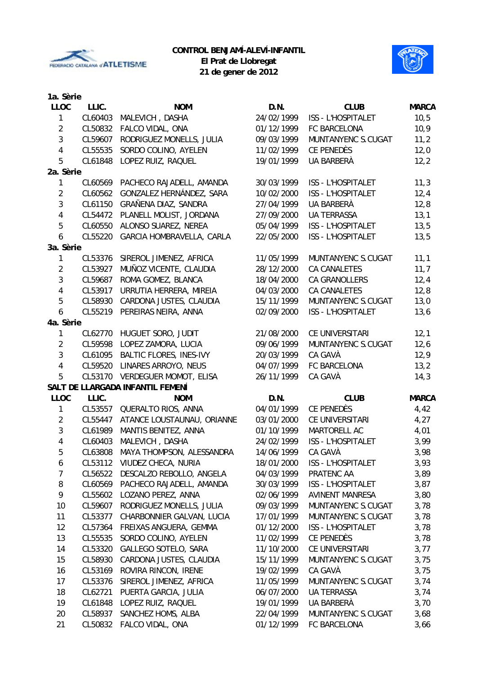



**21 de gener de 2012**

| 1a. Sèrie               |         |                                   |            |                           |              |
|-------------------------|---------|-----------------------------------|------------|---------------------------|--------------|
| <b>LLOC</b>             | LLIC.   | <b>NOM</b>                        | D.N.       | <b>CLUB</b>               | <b>MARCA</b> |
| 1                       | CL60403 | MALEVICH, DASHA                   | 24/02/1999 | ISS - L'HOSPITALET        | 10,5         |
| $\overline{2}$          | CL50832 | FALCO VIDAL, ONA                  | 01/12/1999 | FC BARCELONA              | 10,9         |
| $\mathfrak{Z}$          | CL59607 | RODRIGUEZ MONELLS, JULIA          | 09/03/1999 | MUNTANYENC S.CUGAT        | 11,2         |
| $\overline{\mathbf{4}}$ | CL55535 | SORDO COLINO, AYELEN              | 11/02/1999 | CE PENEDÈS                | 12,0         |
| 5                       | CL61848 | LOPEZ RUIZ, RAQUEL                | 19/01/1999 | UA BARBERÀ                | 12,2         |
| 2a. Sèrie               |         |                                   |            |                           |              |
| 1                       | CL60569 | PACHECO RAJADELL, AMANDA          | 30/03/1999 | ISS - L'HOSPITALET        | 11,3         |
| $\overline{2}$          | CL60562 | GONZALEZ HERNÁNDEZ, SARA          | 10/02/2000 | <b>ISS - L'HOSPITALET</b> | 12,4         |
| 3                       | CL61150 | GRAÑENA DIAZ, SANDRA              | 27/04/1999 | UA BARBERÀ                | 12,8         |
| 4                       | CL54472 | PLANELL MOLIST, JORDANA           | 27/09/2000 | <b>UA TERRASSA</b>        | 13,1         |
| 5                       | CL60550 | ALONSO SUAREZ, NEREA              | 05/04/1999 | ISS - L'HOSPITALET        | 13,5         |
| 6                       | CL55220 | GARCIA HOMBRAVELLA, CARLA         | 22/05/2000 | ISS - L'HOSPITALET        | 13,5         |
| 3a. Sèrie               |         |                                   |            |                           |              |
| 1                       | CL53376 | SIREROL JIMENEZ, AFRICA           | 11/05/1999 | MUNTANYENC S.CUGAT        | 11,1         |
| $\overline{2}$          | CL53927 | MUÑOZ VICENTE, CLAUDIA            | 28/12/2000 | <b>CA CANALETES</b>       | 11,7         |
| 3                       | CL59687 | ROMA GOMEZ, BLANCA                | 18/04/2000 | CA GRANOLLERS             | 12,4         |
| $\overline{4}$          | CL53917 | URRUTIA HERRERA, MIREIA           | 04/03/2000 | <b>CA CANALETES</b>       | 12,8         |
| 5                       | CL58930 | CARDONA JUSTES, CLAUDIA           | 15/11/1999 | MUNTANYENC S.CUGAT        | 13,0         |
| 6                       | CL55219 | PEREIRAS NEIRA, ANNA              | 02/09/2000 | <b>ISS - L'HOSPITALET</b> | 13,6         |
| 4a. Sèrie               |         |                                   |            |                           |              |
| 1                       | CL62770 | HUGUET SORO, JUDIT                | 21/08/2000 | CE UNIVERSITARI           | 12,1         |
| $\overline{2}$          | CL59598 | LOPEZ ZAMORA, LUCIA               | 09/06/1999 | MUNTANYENC S.CUGAT        | 12,6         |
| $\mathfrak{Z}$          | CL61095 | <b>BALTIC FLORES, INES-IVY</b>    | 20/03/1999 | CA GAVÀ                   | 12,9         |
| 4                       | CL59520 | LINARES ARROYO, NEUS              | 04/07/1999 | FC BARCELONA              | 13,2         |
| 5                       | CL53170 | VERDEGUER MOMOT, ELISA            | 26/11/1999 | CA GAVÀ                   | 14,3         |
|                         |         | SALT DE LLARGADA INFANTIL FEMENÍ  |            |                           |              |
| <b>LLOC</b>             | LLIC.   | <b>NOM</b>                        | D.N.       | <b>CLUB</b>               | <b>MARCA</b> |
| 1                       | CL53557 | QUERALTO RIOS, ANNA               | 04/01/1999 | CE PENEDÈS                | 4,42         |
| $\overline{2}$          | CL55447 | ATANCE LOUSTAUNAU, ORIANNE        | 03/01/2000 | CE UNIVERSITARI           | 4,27         |
| 3                       | CL61989 | MANTIS BENITEZ, ANNA              | 01/10/1999 | MARTORELL AC              | 4,01         |
| 4                       | CL60403 | MALEVICH, DASHA                   | 24/02/1999 | <b>ISS - L'HOSPITALET</b> | 3,99         |
| 5                       |         | CL63808 MAYA THOMPSON, ALESSANDRA | 14/06/1999 | CA GAVÀ                   | 3,98         |
| 6                       |         | CL53112 VIUDEZ CHECA, NURIA       | 18/01/2000 | ISS - L'HOSPITALET        | 3,93         |
| $\overline{7}$          |         | CL56522 DESCALZO REBOLLO, ANGELA  | 04/03/1999 | PRATENC AA                | 3,89         |
| 8                       | CL60569 | PACHECO RAJADELL, AMANDA          | 30/03/1999 | ISS - L'HOSPITALET        | 3,87         |
| 9                       | CL55602 | LOZANO PEREZ, ANNA                | 02/06/1999 | AVINENT MANRESA           | 3,80         |
| 10                      | CL59607 | RODRIGUEZ MONELLS, JULIA          | 09/03/1999 | MUNTANYENC S.CUGAT        | 3,78         |
| 11                      | CL53377 | CHARBONNIER GALVAN, LUCIA         | 17/01/1999 | MUNTANYENC S.CUGAT        | 3,78         |
| 12                      | CL57364 | FREIXAS ANGUERA, GEMMA            | 01/12/2000 | ISS - L'HOSPITALET        | 3,78         |
| 13                      | CL55535 | SORDO COLINO, AYELEN              | 11/02/1999 | CE PENEDÈS                | 3,78         |
| 14                      | CL53320 | GALLEGO SOTELO, SARA              | 11/10/2000 | CE UNIVERSITARI           | 3,77         |
| 15                      | CL58930 | CARDONA JUSTES, CLAUDIA           | 15/11/1999 | MUNTANYENC S.CUGAT        | 3,75         |
| 16                      | CL53169 | ROVIRA RINCON, IRENE              | 19/02/1999 | CA GAVÀ                   | 3,75         |
| 17                      | CL53376 | SIREROL JIMENEZ, AFRICA           | 11/05/1999 | MUNTANYENC S.CUGAT        |              |
| 18                      | CL62721 | PUERTA GARCIA, JULIA              | 06/07/2000 | <b>UA TERRASSA</b>        | 3,74         |
| 19                      | CL61848 | LOPEZ RUIZ, RAQUEL                | 19/01/1999 | UA BARBERÀ                | 3,74         |
|                         |         |                                   |            |                           | 3,70         |
| 20                      | CL58937 | SANCHEZ HOMS, ALBA                | 22/04/1999 | MUNTANYENC S.CUGAT        | 3,68         |
| 21                      | CL50832 | FALCO VIDAL, ONA                  | 01/12/1999 | FC BARCELONA              | 3,66         |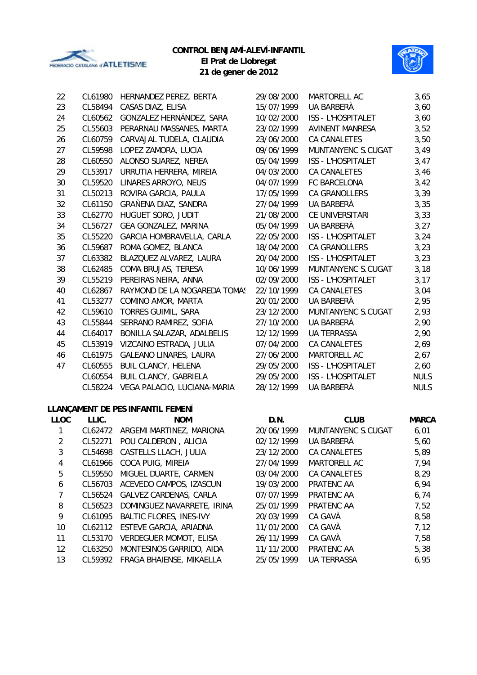

### **CONTROL BENJAMÍ-ALEVÍ-INFANTIL**



**El Prat de Llobregat 21 de gener de 2012**

| 22 | CL61980 | HERNANDEZ PEREZ, BERTA        | 29/08/2000 | MARTORELL AC              | 3,65        |
|----|---------|-------------------------------|------------|---------------------------|-------------|
| 23 | CL58494 | CASAS DIAZ, ELISA             | 15/07/1999 | UA BARBERÀ                | 3,60        |
| 24 | CL60562 | GONZALEZ HERNÁNDEZ, SARA      | 10/02/2000 | ISS - L'HOSPITALET        | 3,60        |
| 25 | CL55603 | PERARNAU MASSANES, MARTA      | 23/02/1999 | <b>AVINENT MANRESA</b>    | 3,52        |
| 26 | CL60759 | CARVAJAL TUDELA, CLAUDIA      | 23/06/2000 | <b>CA CANALETES</b>       | 3,50        |
| 27 | CL59598 | LOPEZ ZAMORA, LUCIA           | 09/06/1999 | MUNTANYENC S.CUGAT        | 3,49        |
| 28 | CL60550 | ALONSO SUAREZ, NEREA          | 05/04/1999 | <b>ISS - L'HOSPITALET</b> | 3,47        |
| 29 | CL53917 | URRUTIA HERRERA, MIREIA       | 04/03/2000 | <b>CA CANALETES</b>       | 3,46        |
| 30 | CL59520 | LINARES ARROYO, NEUS          | 04/07/1999 | FC BARCELONA              | 3,42        |
| 31 | CL50213 | ROVIRA GARCIA, PAULA          | 17/05/1999 | <b>CA GRANOLLERS</b>      | 3,39        |
| 32 | CL61150 | GRAÑENA DIAZ, SANDRA          | 27/04/1999 | UA BARBERÀ                | 3,35        |
| 33 | CL62770 | HUGUET SORO, JUDIT            | 21/08/2000 | CE UNIVERSITARI           | 3,33        |
| 34 | CL56727 | GEA GONZALEZ, MARINA          | 05/04/1999 | UA BARBERÀ                | 3,27        |
| 35 | CL55220 | GARCIA HOMBRAVELLA, CARLA     | 22/05/2000 | <b>ISS - L'HOSPITALET</b> | 3,24        |
| 36 | CL59687 | ROMA GOMEZ, BLANCA            | 18/04/2000 | <b>CA GRANOLLERS</b>      | 3,23        |
| 37 | CL63382 | BLAZQUEZ ALVAREZ, LAURA       | 20/04/2000 | <b>ISS - L'HOSPITALET</b> | 3,23        |
| 38 | CL62485 | COMA BRUJAS, TERESA           | 10/06/1999 | MUNTANYENC S.CUGAT        | 3,18        |
| 39 | CL55219 | PEREIRAS NEIRA, ANNA          | 02/09/2000 | <b>ISS - L'HOSPITALET</b> | 3,17        |
| 40 | CL62867 | RAYMOND DE LA NOGAREDA TOMAS  | 22/10/1999 | <b>CA CANALETES</b>       | 3,04        |
| 41 | CL53277 | COMINO AMOR, MARTA            | 20/01/2000 | UA BARBERÀ                | 2,95        |
| 42 | CL59610 | TORRES GUIMIL, SARA           | 23/12/2000 | MUNTANYENC S.CUGAT        | 2,93        |
| 43 | CL55844 | SERRANO RAMIREZ, SOFIA        | 27/10/2000 | UA BARBERÀ                | 2,90        |
| 44 | CL64017 | BONILLA SALAZAR, ADALBELIS    | 12/12/1999 | <b>UA TERRASSA</b>        | 2,90        |
| 45 | CL53919 | VIZCAINO ESTRADA, JULIA       | 07/04/2000 | CA CANALETES              | 2,69        |
| 46 | CL61975 | <b>GALEANO LINARES, LAURA</b> | 27/06/2000 | MARTORELL AC              | 2,67        |
| 47 | CL60555 | <b>BUIL CLANCY, HELENA</b>    | 29/05/2000 | <b>ISS - L'HOSPITALET</b> | 2,60        |
|    | CL60554 | <b>BUIL CLANCY, GABRIELA</b>  | 29/05/2000 | <b>ISS - L'HOSPITALET</b> | <b>NULS</b> |
|    | CL58224 | VEGA PALACIO, LUCIANA-MARIA   | 28/12/1999 | UA BARBERÀ                | <b>NULS</b> |
|    |         |                               |            |                           |             |

# **LLANÇAMENT DE PES INFANTIL FEMENÍ**

| <b>LLOC</b> | LLIC.   | <b>NOM</b>                     | D.N.       | <b>CLUB</b>        | <b>MARCA</b> |
|-------------|---------|--------------------------------|------------|--------------------|--------------|
|             | CL62472 | ARGEMI MARTINEZ, MARIONA       | 20/06/1999 | MUNTANYENC S.CUGAT | 6,01         |
| 2           | CL52271 | POU CALDERON, ALICIA           | 02/12/1999 | UA BARBERÀ         | 5,60         |
| 3           | CL54698 | CASTELLS LLACH, JULIA          | 23/12/2000 | CA CANALETES       | 5,89         |
| 4           | CL61966 | COCA PUIG, MIREIA              | 27/04/1999 | MARTORELL AC       | 7,94         |
| 5           | CL59550 | MIGUEL DUARTE, CARMEN          | 03/04/2000 | CA CANALETES       | 8,29         |
| 6           | CL56703 | ACEVEDO CAMPOS, IZASCUN        | 19/03/2000 | PRATENC AA         | 6,94         |
|             | CL56524 | GALVEZ CARDENAS, CARLA         | 07/07/1999 | PRATENC AA         | 6,74         |
| 8           | CL56523 | DOMINGUEZ NAVARRETE, IRINA     | 25/01/1999 | PRATENC AA         | 7,52         |
| 9           | CL61095 | <b>BALTIC FLORES, INES-IVY</b> | 20/03/1999 | CA GAVÀ            | 8,58         |
| 10          |         | CL62112 ESTEVE GARCIA, ARIADNA | 11/01/2000 | CA GAVÀ            | 7,12         |
| 11          | CL53170 | <b>VERDEGUER MOMOT, ELISA</b>  | 26/11/1999 | CA GAVÀ            | 7,58         |
| 12          | CL63250 | MONTESINOS GARRIDO, AIDA       | 11/11/2000 | PRATENC AA         | 5,38         |
| 13          | CL59392 | FRAGA BHAIENSE, MIKAELLA       | 25/05/1999 | <b>UA TERRASSA</b> | 6,95         |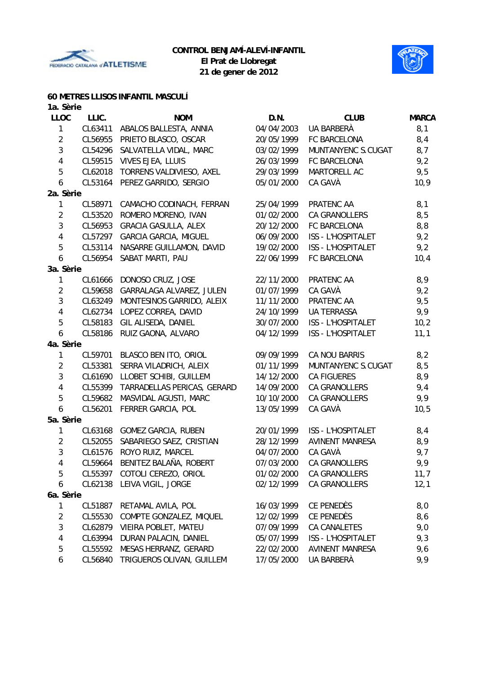



# **60 METRES LLISOS INFANTIL MASCULÍ**

| 1a. Sèrie      |         |                              |            |                           |              |
|----------------|---------|------------------------------|------------|---------------------------|--------------|
| <b>LLOC</b>    | LLIC.   | <b>NOM</b>                   | D.N.       | <b>CLUB</b>               | <b>MARCA</b> |
| $\mathbf{1}$   | CL63411 | ABALOS BALLESTA, ANNIA       | 04/04/2003 | UA BARBERÀ                | 8,1          |
| $\overline{c}$ | CL56955 | PRIETO BLASCO, OSCAR         | 20/05/1999 | FC BARCELONA              | 8,4          |
| $\mathbf{3}$   | CL54296 | SALVATELLA VIDAL, MARC       | 03/02/1999 | MUNTANYENC S.CUGAT        | 8,7          |
| $\pmb{4}$      | CL59515 | VIVES EJEA, LLUIS            | 26/03/1999 | FC BARCELONA              | 9,2          |
| 5              | CL62018 | TORRENS VALDIVIESO, AXEL     | 29/03/1999 | MARTORELL AC              | 9,5          |
| 6              | CL53164 | PEREZ GARRIDO, SERGIO        | 05/01/2000 | CA GAVÀ                   | 10,9         |
| 2a. Sèrie      |         |                              |            |                           |              |
| 1              | CL58971 | CAMACHO CODINACH, FERRAN     | 25/04/1999 | PRATENC AA                | 8,1          |
| $\overline{2}$ | CL53520 | ROMERO MORENO, IVAN          | 01/02/2000 | CA GRANOLLERS             | 8,5          |
| $\sqrt{3}$     | CL56953 | <b>GRACIA GASULLA, ALEX</b>  | 20/12/2000 | FC BARCELONA              | 8,8          |
| 4              | CL57297 | <b>GARCIA GARCIA, MIGUEL</b> | 06/09/2000 | ISS - L'HOSPITALET        | 9,2          |
| 5              | CL53114 | NASARRE GUILLAMON, DAVID     | 19/02/2000 | ISS - L'HOSPITALET        | 9,2          |
| 6              | CL56954 | SABAT MARTI, PAU             | 22/06/1999 | FC BARCELONA              | 10,4         |
| 3a. Sèrie      |         |                              |            |                           |              |
| 1              | CL61666 | DONOSO CRUZ, JOSE            | 22/11/2000 | PRATENC AA                | 8,9          |
| $\overline{2}$ | CL59658 | GARRALAGA ALVAREZ, JULEN     | 01/07/1999 | CA GAVÀ                   | 9,2          |
| 3              | CL63249 | MONTESINOS GARRIDO, ALEIX    | 11/11/2000 | PRATENC AA                | 9,5          |
| 4              | CL62734 | LOPEZ CORREA, DAVID          | 24/10/1999 | <b>UA TERRASSA</b>        | 9,9          |
| 5              | CL58183 | GIL ALISEDA, DANIEL          | 30/07/2000 | ISS - L'HOSPITALET        | 10,2         |
| 6              | CL58186 | RUIZ GAONA, ALVARO           | 04/12/1999 | <b>ISS - L'HOSPITALET</b> | 11,1         |
| 4a. Sèrie      |         |                              |            |                           |              |
| $\mathbf{1}$   | CL59701 | BLASCO BEN ITO, ORIOL        | 09/09/1999 | CA NOU BARRIS             | 8,2          |
| $\overline{2}$ | CL53381 | SERRA VILADRICH, ALEIX       | 01/11/1999 | MUNTANYENC S.CUGAT        | 8,5          |
| 3              | CL61690 | LLOBET SCHIBI, GUILLEM       | 14/12/2000 | <b>CA FIGUERES</b>        | 8,9          |
| 4              | CL55399 | TARRADELLAS PERICAS, GERARD  | 14/09/2000 | CA GRANOLLERS             | 9,4          |
| 5              | CL59682 | MASVIDAL AGUSTI, MARC        | 10/10/2000 | CA GRANOLLERS             | 9,9          |
| 6              | CL56201 | FERRER GARCIA, POL           | 13/05/1999 | CA GAVÀ                   | 10,5         |
| 5a. Sèrie      |         |                              |            |                           |              |
| 1              | CL63168 | <b>GOMEZ GARCIA, RUBEN</b>   | 20/01/1999 | ISS - L'HOSPITALET        | 8,4          |
| $\overline{2}$ | CL52055 | SABARIEGO SAEZ, CRISTIAN     | 28/12/1999 | <b>AVINENT MANRESA</b>    | 8,9          |
| 3              | CL61576 | ROYO RUIZ, MARCEL            | 04/07/2000 | CA GAVÀ                   | 9,7          |
| 4              | CL59664 | BENITEZ BALAÑA, ROBERT       | 07/03/2000 | CA GRANOLLERS             | 9,9          |
| 5              | CL55397 | COTOLI CEREZO, ORIOL         | 01/02/2000 | CA GRANOLLERS             | 11,7         |
| 6              | CL62138 | LEIVA VIGIL, JORGE           | 02/12/1999 | CA GRANOLLERS             | 12,1         |
| 6a. Sèrie      |         |                              |            |                           |              |
| 1              | CL51887 | RETAMAL AVILA, POL           | 16/03/1999 | CE PENEDÈS                | 8,0          |
| $\overline{2}$ | CL55530 | COMPTE GONZALEZ, MIQUEL      | 12/02/1999 | CE PENEDÈS                | 8,6          |
| 3              | CL62879 | VIEIRA POBLET, MATEU         | 07/09/1999 | CA CANALETES              | 9,0          |
| 4              | CL63994 | DURAN PALACIN, DANIEL        | 05/07/1999 | <b>ISS - L'HOSPITALET</b> | 9,3          |
| 5              | CL55592 | MESAS HERRANZ, GERARD        | 22/02/2000 | <b>AVINENT MANRESA</b>    | 9,6          |
| 6              | CL56840 | TRIGUEROS OLIVAN, GUILLEM    | 17/05/2000 | UA BARBERÀ                | 9,9          |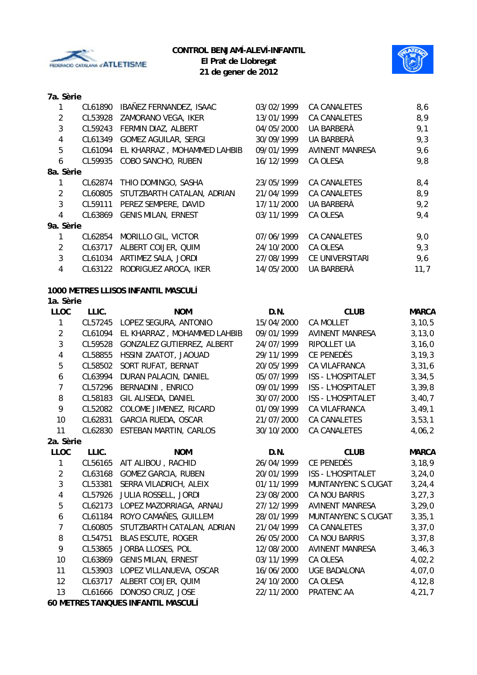



## **7a. Sèrie**

| 1              | CL61890 | IBAÑEZ FERNANDEZ, ISAAC     | 03/02/1999 | CA CANALETES        | 8,6  |
|----------------|---------|-----------------------------|------------|---------------------|------|
| $\overline{2}$ | CL53928 | ZAMORANO VEGA, IKER         | 13/01/1999 | <b>CA CANALETES</b> | 8,9  |
| 3              | CL59243 | FERMIN DIAZ, ALBERT         | 04/05/2000 | UA BARBERÀ          | 9,1  |
| 4              | CL61349 | GOMEZ AGUILAR, SERGI        | 30/09/1999 | UA BARBERÀ          | 9,3  |
| 5              | CL61094 | EL KHARRAZ, MOHAMMED LAHBIB | 09/01/1999 | AVINENT MANRESA     | 9,6  |
| 6              | CL59935 | COBO SANCHO, RUBEN          | 16/12/1999 | CA OLESA            | 9,8  |
| 8a. Sèrie      |         |                             |            |                     |      |
|                | CL62874 | THIO DOMINGO, SASHA         | 23/05/1999 | CA CANALETES        | 8,4  |
| $\overline{2}$ | CL60805 | STUTZBARTH CATALAN, ADRIAN  | 21/04/1999 | CA CANALETES        | 8,9  |
| 3              | CL59111 | PEREZ SEMPERE, DAVID        | 17/11/2000 | UA BARBERÀ          | 9,2  |
| 4              | CL63869 | <b>GENIS MILAN, ERNEST</b>  | 03/11/1999 | CA OLESA            | 9,4  |
| 9a. Sèrie      |         |                             |            |                     |      |
|                | CL62854 | MORILLO GIL, VICTOR         | 07/06/1999 | CA CANALETES        | 9,0  |
| $\overline{2}$ | CL63717 | ALBERT COIJER, QUIM         | 24/10/2000 | CA OLESA            | 9,3  |
| 3              | CL61034 | ARTIMEZ SALA, JORDI         | 27/08/1999 | CE UNIVERSITARI     | 9,6  |
| 4              | CL63122 | RODRIGUEZ AROCA, IKER       | 14/05/2000 | UA BARBERÀ          | 11,7 |

#### **1000 METRES LLISOS INFANTIL MASCULÍ**

### **1a. Sèrie**

| <b>LLOC</b>    | LLIC.   | <b>NOM</b>                         | D.N.       | <b>CLUB</b>               | <b>MARCA</b> |
|----------------|---------|------------------------------------|------------|---------------------------|--------------|
| 1              | CL57245 | LOPEZ SEGURA, ANTONIO              | 15/04/2000 | <b>CA MOLLET</b>          | 3, 10, 5     |
| $\overline{2}$ | CL61094 | EL KHARRAZ, MOHAMMED LAHBIB        | 09/01/1999 | <b>AVINENT MANRESA</b>    | 3, 13, 0     |
| 3              | CL59528 | GONZALEZ GUTIERREZ, ALBERT         | 24/07/1999 | RIPOLLET UA               | 3, 16, 0     |
| 4              | CL58855 | HSSINI ZAATOT, JAOUAD              | 29/11/1999 | CE PENEDÈS                | 3, 19, 3     |
| 5              | CL58502 | SORT RUFAT, BERNAT                 | 20/05/1999 | CA VILAFRANCA             | 3,31,6       |
| 6              | CL63994 | DURAN PALACIN, DANIEL              | 05/07/1999 | ISS - L'HOSPITALET        | 3, 34, 5     |
| $\overline{7}$ | CL57296 | BERNADINI, ENRICO                  | 09/01/1999 | <b>ISS - L'HOSPITALET</b> | 3,39,8       |
| 8              | CL58183 | GIL ALISEDA, DANIEL                | 30/07/2000 | <b>ISS - L'HOSPITALET</b> | 3,40,7       |
| 9              | CL52082 | COLOME JIMENEZ, RICARD             | 01/09/1999 | CA VILAFRANCA             | 3,49,1       |
| 10             | CL62831 | GARCIA RUEDA, OSCAR                | 21/07/2000 | <b>CA CANALETES</b>       | 3, 53, 1     |
| 11             | CL62830 | <b>ESTEBAN MARTIN, CARLOS</b>      | 30/10/2000 | <b>CA CANALETES</b>       | 4,06,2       |
| 2a. Sèrie      |         |                                    |            |                           |              |
| <b>LLOC</b>    | LLIC.   | <b>NOM</b>                         | D.N.       | <b>CLUB</b>               | <b>MARCA</b> |
| 1              | CL56165 | AIT ALIBOU, RACHID                 | 26/04/1999 | CE PENEDÈS                | 3, 18, 9     |
| $\overline{2}$ | CL63168 | <b>GOMEZ GARCIA, RUBEN</b>         | 20/01/1999 | <b>ISS - L'HOSPITALET</b> | 3,24,0       |
| 3              | CL53381 | SERRA VILADRICH, ALEIX             | 01/11/1999 | MUNTANYENC S.CUGAT        | 3, 24, 4     |
| 4              | CL57926 | JULIA ROSSELL, JORDI               | 23/08/2000 | <b>CA NOU BARRIS</b>      | 3, 27, 3     |
| 5              | CL62173 | LOPEZ MAZORRIAGA, ARNAU            | 27/12/1999 | <b>AVINENT MANRESA</b>    | 3, 29, 0     |
| 6              | CL61184 | ROYO CAMAÑES, GUILLEM              | 28/01/1999 | MUNTANYENC S.CUGAT        | 3, 35, 1     |
| $\overline{7}$ | CL60805 | STUTZBARTH CATALAN, ADRIAN         | 21/04/1999 | <b>CA CANALETES</b>       | 3,37,0       |
| 8              | CL54751 | <b>BLAS ESCUTE, ROGER</b>          | 26/05/2000 | CA NOU BARRIS             | 3, 37, 8     |
| 9              | CL53865 | JORBA LLOSES, POL                  | 12/08/2000 | <b>AVINENT MANRESA</b>    | 3,46,3       |
| 10             | CL63869 | <b>GENIS MILAN, ERNEST</b>         | 03/11/1999 | CA OLESA                  | 4,02,2       |
| 11             | CL53903 | LOPEZ VILLANUEVA, OSCAR            | 16/06/2000 | <b>UGE BADALONA</b>       | 4,07,0       |
| 12             | CL63717 | ALBERT COIJER, QUIM                | 24/10/2000 | CA OLESA                  | 4,12,8       |
| 13             | CL61666 | DONOSO CRUZ, JOSE                  | 22/11/2000 | PRATENC AA                | 4,21,7       |
|                |         | 60 METRES TANQUES INFANTIL MASCULÍ |            |                           |              |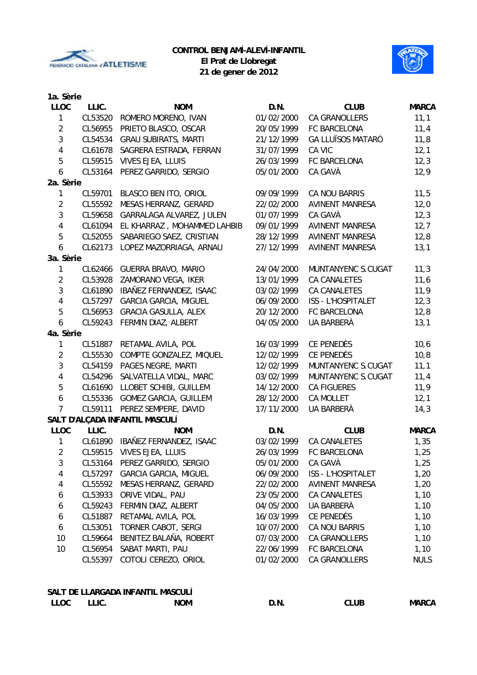



**21 de gener de 2012**

| 1a. Sèrie        |         |                                |            |                           |              |
|------------------|---------|--------------------------------|------------|---------------------------|--------------|
| <b>LLOC</b>      | LLIC.   | <b>NOM</b>                     | D.N.       | <b>CLUB</b>               | <b>MARCA</b> |
| 1                | CL53520 | ROMERO MORENO, IVAN            | 01/02/2000 | CA GRANOLLERS             | 11,1         |
| $\overline{2}$   | CL56955 | PRIETO BLASCO, OSCAR           | 20/05/1999 | FC BARCELONA              | 11,4         |
| 3                | CL54534 | <b>GRAU SUBIRATS, MARTI</b>    | 21/12/1999 | <b>GA LLUÏSOS MATARÓ</b>  | 11,8         |
| $\overline{4}$   | CL61678 | SAGRERA ESTRADA, FERRAN        | 31/07/1999 | CA VIC                    | 12,1         |
| 5                | CL59515 | VIVES EJEA, LLUIS              | 26/03/1999 | FC BARCELONA              | 12,3         |
| $\boldsymbol{6}$ | CL53164 | PEREZ GARRIDO, SERGIO          | 05/01/2000 | CA GAVÀ                   | 12,9         |
| 2a. Sèrie        |         |                                |            |                           |              |
| 1                | CL59701 | BLASCO BEN ITO, ORIOL          | 09/09/1999 | CA NOU BARRIS             | 11,5         |
| $\overline{2}$   | CL55592 | MESAS HERRANZ, GERARD          | 22/02/2000 | <b>AVINENT MANRESA</b>    | 12,0         |
| $\mathbf{3}$     | CL59658 | GARRALAGA ALVAREZ, JULEN       | 01/07/1999 | CA GAVÀ                   | 12,3         |
| 4                | CL61094 | EL KHARRAZ, MOHAMMED LAHBIB    | 09/01/1999 | <b>AVINENT MANRESA</b>    | 12,7         |
| 5                | CL52055 | SABARIEGO SAEZ, CRISTIAN       | 28/12/1999 | <b>AVINENT MANRESA</b>    | 12,8         |
| $\boldsymbol{6}$ | CL62173 | LOPEZ MAZORRIAGA, ARNAU        | 27/12/1999 | <b>AVINENT MANRESA</b>    | 13,1         |
| 3a. Sèrie        |         |                                |            |                           |              |
| 1                | CL62466 | GUERRA BRAVO, MARIO            | 24/04/2000 | MUNTANYENC S.CUGAT        | 11,3         |
| $\overline{2}$   | CL53928 | ZAMORANO VEGA, IKER            | 13/01/1999 | <b>CA CANALETES</b>       | 11,6         |
| $\mathbf{3}$     | CL61890 | IBAÑEZ FERNANDEZ, ISAAC        | 03/02/1999 | <b>CA CANALETES</b>       | 11,9         |
| $\overline{4}$   | CL57297 | <b>GARCIA GARCIA, MIGUEL</b>   | 06/09/2000 | <b>ISS - L'HOSPITALET</b> | 12,3         |
| $\overline{5}$   | CL56953 | <b>GRACIA GASULLA, ALEX</b>    | 20/12/2000 | FC BARCELONA              | 12,8         |
| 6                | CL59243 | FERMIN DIAZ, ALBERT            | 04/05/2000 | UA BARBERÀ                | 13,1         |
| 4a. Sèrie        |         |                                |            |                           |              |
| 1                | CL51887 | RETAMAL AVILA, POL             | 16/03/1999 | CE PENEDÈS                | 10,6         |
| $\overline{2}$   | CL55530 | COMPTE GONZALEZ, MIQUEL        | 12/02/1999 | CE PENEDÈS                | 10,8         |
| 3                | CL54159 | PAGES NEGRE, MARTI             | 12/02/1999 | MUNTANYENC S.CUGAT        | 11,1         |
| $\overline{4}$   | CL54296 | SALVATELLA VIDAL, MARC         | 03/02/1999 | MUNTANYENC S.CUGAT        | 11,4         |
| 5                | CL61690 | LLOBET SCHIBI, GUILLEM         | 14/12/2000 | <b>CA FIGUERES</b>        | 11,9         |
| $\boldsymbol{6}$ | CL55336 | <b>GOMEZ GARCIA, GUILLEM</b>   | 28/12/2000 | <b>CA MOLLET</b>          | 12,1         |
| $\overline{7}$   | CL59111 | PEREZ SEMPERE, DAVID           | 17/11/2000 | UA BARBERÀ                | 14,3         |
|                  |         | SALT D'ALÇADA INFANTIL MASCULÍ |            |                           |              |
| <b>LLOC</b>      | LLIC.   | <b>NOM</b>                     | D.N.       | <b>CLUB</b>               | <b>MARCA</b> |
| 1                | CL61890 | IBAÑEZ FERNANDEZ, ISAAC        | 03/02/1999 | <b>CA CANALETES</b>       | 1,35         |
| 2                | CL59515 | VIVES EJEA, LLUIS              | 26/03/1999 | FC BARCELONA              | 1,25         |
| 3                | CL53164 | PEREZ GARRIDO, SERGIO          | 05/01/2000 | CA GAVÀ                   | 1,25         |
| 4                | CL57297 | <b>GARCIA GARCIA, MIGUEL</b>   | 06/09/2000 | ISS - L'HOSPITALET        | 1,20         |
| 4                | CL55592 | MESAS HERRANZ, GERARD          | 22/02/2000 | <b>AVINENT MANRESA</b>    | 1,20         |
| 6                | CL53933 | ORIVE VIDAL, PAU               | 23/05/2000 | CA CANALETES              | 1,10         |
| 6                | CL59243 | FERMIN DIAZ, ALBERT            | 04/05/2000 | UA BARBERÀ                | 1,10         |
| 6                | CL51887 | RETAMAL AVILA, POL             | 16/03/1999 | CE PENEDÈS                | 1,10         |
| 6                | CL53051 | TORNER CABOT, SERGI            | 10/07/2000 | CA NOU BARRIS             | 1,10         |
| 10               | CL59664 | BENITEZ BALAÑA, ROBERT         | 07/03/2000 | CA GRANOLLERS             | 1,10         |
| 10               | CL56954 | SABAT MARTI, PAU               | 22/06/1999 | FC BARCELONA              | 1,10         |
|                  | CL55397 | COTOLI CEREZO, ORIOL           | 01/02/2000 | CA GRANOLLERS             | <b>NULS</b>  |
|                  |         |                                |            |                           |              |

### **SALT DE LLARGADA INFANTIL MASCULÍ** LLOC LLIC. NOM NOM D.N. CLUB MARCA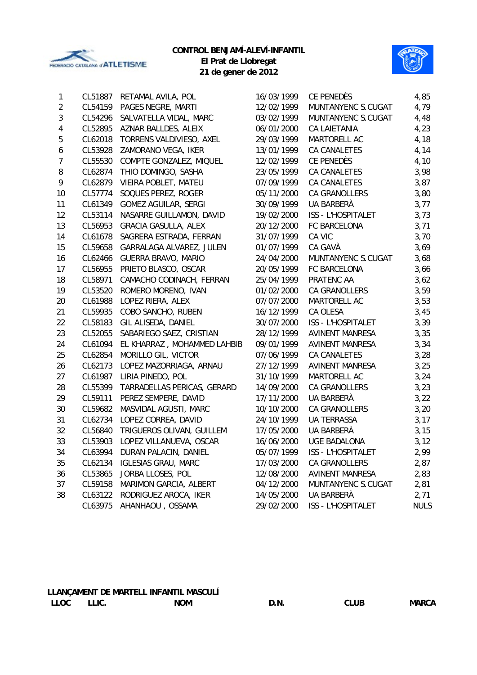

# **CONTROL BENJAMÍ-ALEVÍ-INFANTIL**

**El Prat de Llobregat 21 de gener de 2012**



| 1                | CL51887 | RETAMAL AVILA, POL          | 16/03/1999 | CE PENEDÈS             | 4,85        |
|------------------|---------|-----------------------------|------------|------------------------|-------------|
| $\overline{2}$   | CL54159 | PAGES NEGRE, MARTI          | 12/02/1999 | MUNTANYENC S.CUGAT     | 4,79        |
| $\sqrt{3}$       | CL54296 | SALVATELLA VIDAL, MARC      | 03/02/1999 | MUNTANYENC S.CUGAT     | 4,48        |
| 4                | CL52895 | AZNAR BALLDES, ALEIX        | 06/01/2000 | <b>CA LAIETANIA</b>    | 4,23        |
| 5                | CL62018 | TORRENS VALDIVIESO, AXEL    | 29/03/1999 | MARTORELL AC           | 4,18        |
| $\boldsymbol{6}$ | CL53928 | ZAMORANO VEGA, IKER         | 13/01/1999 | <b>CA CANALETES</b>    | 4,14        |
| $\overline{7}$   | CL55530 | COMPTE GONZALEZ, MIQUEL     | 12/02/1999 | CE PENEDÈS             | 4,10        |
| 8                | CL62874 | THIO DOMINGO, SASHA         | 23/05/1999 | <b>CA CANALETES</b>    | 3,98        |
| 9                | CL62879 | VIEIRA POBLET, MATEU        | 07/09/1999 | <b>CA CANALETES</b>    | 3,87        |
| 10               | CL57774 | SOQUES PEREZ, ROGER         | 05/11/2000 | <b>CA GRANOLLERS</b>   | 3,80        |
| 11               | CL61349 | <b>GOMEZ AGUILAR, SERGI</b> | 30/09/1999 | UA BARBERÀ             | 3,77        |
| 12               | CL53114 | NASARRE GUILLAMON, DAVID    | 19/02/2000 | ISS - L'HOSPITALET     | 3,73        |
| 13               | CL56953 | <b>GRACIA GASULLA, ALEX</b> | 20/12/2000 | FC BARCELONA           | 3,71        |
| 14               | CL61678 | SAGRERA ESTRADA, FERRAN     | 31/07/1999 | CA VIC                 | 3,70        |
| 15               | CL59658 | GARRALAGA ALVAREZ, JULEN    | 01/07/1999 | CA GAVÀ                | 3,69        |
| 16               | CL62466 | <b>GUERRA BRAVO, MARIO</b>  | 24/04/2000 | MUNTANYENC S.CUGAT     | 3,68        |
| 17               | CL56955 | PRIETO BLASCO, OSCAR        | 20/05/1999 | FC BARCELONA           | 3,66        |
| 18               | CL58971 | CAMACHO CODINACH, FERRAN    | 25/04/1999 | PRATENC AA             | 3,62        |
| 19               | CL53520 | ROMERO MORENO, IVAN         | 01/02/2000 | CA GRANOLLERS          | 3,59        |
| 20               | CL61988 | LOPEZ RIERA, ALEX           | 07/07/2000 | MARTORELL AC           | 3,53        |
| 21               | CL59935 | COBO SANCHO, RUBEN          | 16/12/1999 | CA OLESA               | 3,45        |
| 22               | CL58183 | GIL ALISEDA, DANIEL         | 30/07/2000 | ISS - L'HOSPITALET     | 3,39        |
| 23               | CL52055 | SABARIEGO SAEZ, CRISTIAN    | 28/12/1999 | <b>AVINENT MANRESA</b> | 3,35        |
| 24               | CL61094 | EL KHARRAZ, MOHAMMED LAHBIB | 09/01/1999 | <b>AVINENT MANRESA</b> | 3,34        |
| 25               | CL62854 | MORILLO GIL, VICTOR         | 07/06/1999 | CA CANALETES           | 3,28        |
| 26               | CL62173 | LOPEZ MAZORRIAGA, ARNAU     | 27/12/1999 | <b>AVINENT MANRESA</b> | 3,25        |
| 27               | CL61987 | LIRIA PINEDO, POL           | 31/10/1999 | MARTORELL AC           | 3,24        |
| 28               | CL55399 | TARRADELLAS PERICAS, GERARD | 14/09/2000 | <b>CA GRANOLLERS</b>   | 3,23        |
| 29               | CL59111 | PEREZ SEMPERE, DAVID        | 17/11/2000 | UA BARBERÀ             | 3,22        |
| 30               | CL59682 | MASVIDAL AGUSTI, MARC       | 10/10/2000 | <b>CA GRANOLLERS</b>   | 3,20        |
| 31               | CL62734 | LOPEZ CORREA, DAVID         | 24/10/1999 | <b>UA TERRASSA</b>     | 3,17        |
| 32               | CL56840 | TRIGUEROS OLIVAN, GUILLEM   | 17/05/2000 | UA BARBERÀ             | 3,15        |
| 33               | CL53903 | LOPEZ VILLANUEVA, OSCAR     | 16/06/2000 | <b>UGE BADALONA</b>    | 3,12        |
| 34               | CL63994 | DURAN PALACIN, DANIEL       | 05/07/1999 | ISS - L'HOSPITALET     | 2,99        |
| 35               | CL62134 | <b>IGLESIAS GRAU, MARC</b>  | 17/03/2000 | <b>CA GRANOLLERS</b>   | 2,87        |
| 36               | CL53865 | JORBA LLOSES, POL           | 12/08/2000 | <b>AVINENT MANRESA</b> | 2,83        |
| 37               | CL59158 | MARIMON GARCIA, ALBERT      | 04/12/2000 | MUNTANYENC S.CUGAT     | 2,81        |
| 38               | CL63122 | RODRIGUEZ AROCA, IKER       | 14/05/2000 | UA BARBERÀ             | 2,71        |
|                  | CL63975 | AHANHAOU, OSSAMA            | 29/02/2000 | ISS - L'HOSPITALET     | <b>NULS</b> |

### **LLANÇAMENT DE MARTELL INFANTIL MASCULÍ** LLOC LLIC. NOM NOM D.N. CLUB MARCA